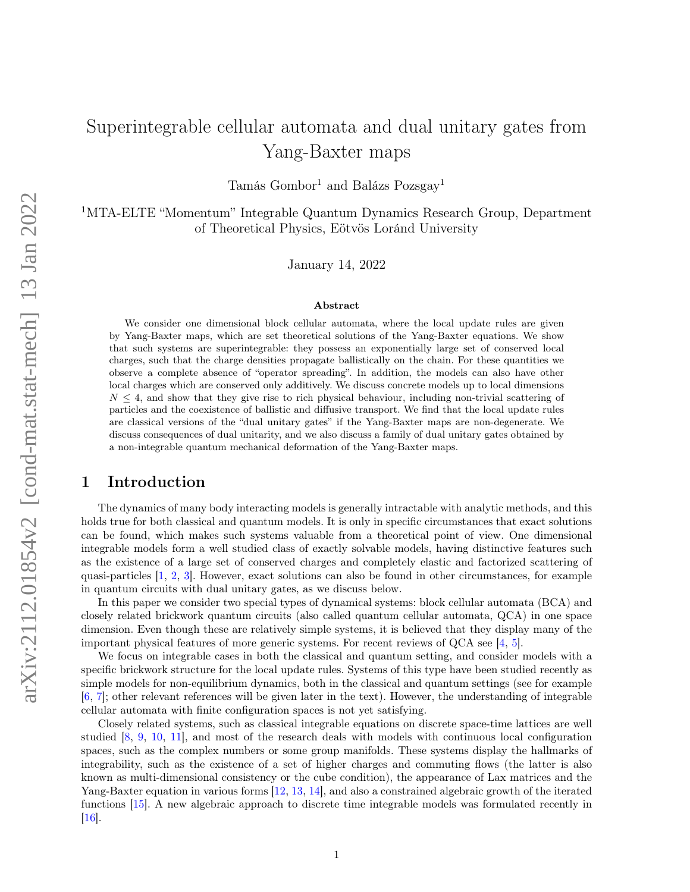# Superintegrable cellular automata and dual unitary gates from Yang-Baxter maps

Tamás Gombor<sup>1</sup> and Balázs Pozsgay<sup>1</sup>

<sup>1</sup>MTA-ELTE "Momentum" Integrable Quantum Dynamics Research Group, Department of Theoretical Physics, Eötvös Loránd University

January 14, 2022

#### Abstract

We consider one dimensional block cellular automata, where the local update rules are given by Yang-Baxter maps, which are set theoretical solutions of the Yang-Baxter equations. We show that such systems are superintegrable: they possess an exponentially large set of conserved local charges, such that the charge densities propagate ballistically on the chain. For these quantities we observe a complete absence of "operator spreading". In addition, the models can also have other local charges which are conserved only additively. We discuss concrete models up to local dimensions  $N \leq 4$ , and show that they give rise to rich physical behaviour, including non-trivial scattering of particles and the coexistence of ballistic and diffusive transport. We find that the local update rules are classical versions of the "dual unitary gates" if the Yang-Baxter maps are non-degenerate. We discuss consequences of dual unitarity, and we also discuss a family of dual unitary gates obtained by a non-integrable quantum mechanical deformation of the Yang-Baxter maps.

### 1 Introduction

The dynamics of many body interacting models is generally intractable with analytic methods, and this holds true for both classical and quantum models. It is only in specific circumstances that exact solutions can be found, which makes such systems valuable from a theoretical point of view. One dimensional integrable models form a well studied class of exactly solvable models, having distinctive features such as the existence of a large set of conserved charges and completely elastic and factorized scattering of quasi-particles [\[1,](#page-21-0) [2,](#page-21-1) [3\]](#page-21-2). However, exact solutions can also be found in other circumstances, for example in quantum circuits with dual unitary gates, as we discuss below.

In this paper we consider two special types of dynamical systems: block cellular automata (BCA) and closely related brickwork quantum circuits (also called quantum cellular automata, QCA) in one space dimension. Even though these are relatively simple systems, it is believed that they display many of the important physical features of more generic systems. For recent reviews of QCA see [\[4,](#page-21-3) [5\]](#page-21-4).

We focus on integrable cases in both the classical and quantum setting, and consider models with a specific brickwork structure for the local update rules. Systems of this type have been studied recently as simple models for non-equilibrium dynamics, both in the classical and quantum settings (see for example [\[6,](#page-22-0) [7\]](#page-22-1); other relevant references will be given later in the text). However, the understanding of integrable cellular automata with finite configuration spaces is not yet satisfying.

Closely related systems, such as classical integrable equations on discrete space-time lattices are well studied [\[8,](#page-22-2) [9,](#page-22-3) [10,](#page-22-4) [11\]](#page-22-5), and most of the research deals with models with continuous local configuration spaces, such as the complex numbers or some group manifolds. These systems display the hallmarks of integrability, such as the existence of a set of higher charges and commuting flows (the latter is also known as multi-dimensional consistency or the cube condition), the appearance of Lax matrices and the Yang-Baxter equation in various forms [\[12,](#page-22-6) [13,](#page-22-7) [14\]](#page-22-8), and also a constrained algebraic growth of the iterated functions [\[15\]](#page-22-9). A new algebraic approach to discrete time integrable models was formulated recently in  $|16|$ .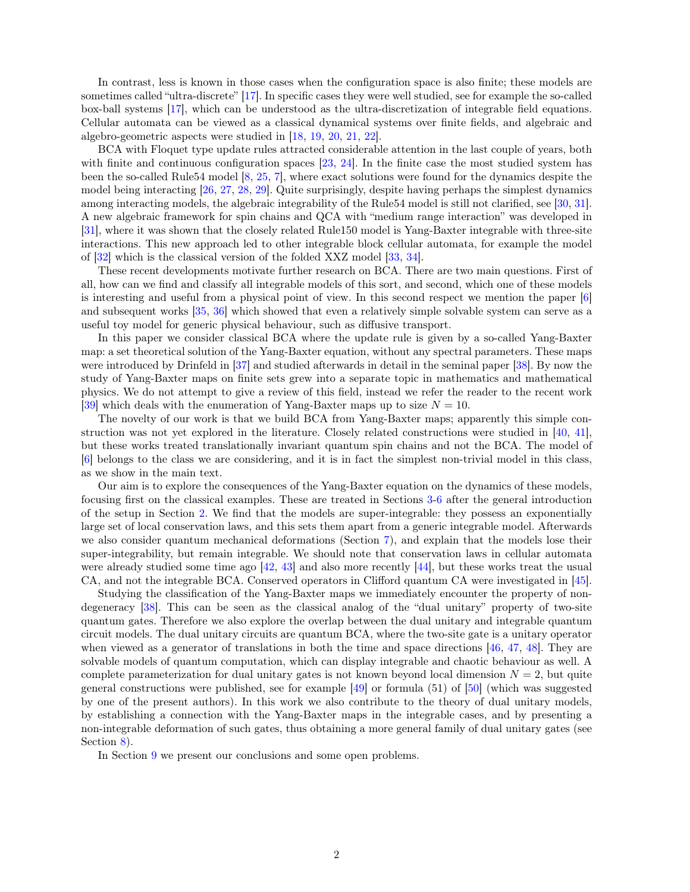In contrast, less is known in those cases when the configuration space is also finite; these models are sometimes called "ultra-discrete" [\[17\]](#page-22-11). In specific cases they were well studied, see for example the so-called box-ball systems [\[17\]](#page-22-11), which can be understood as the ultra-discretization of integrable field equations. Cellular automata can be viewed as a classical dynamical systems over finite fields, and algebraic and algebro-geometric aspects were studied in [\[18,](#page-22-12) [19,](#page-22-13) [20,](#page-22-14) [21,](#page-22-15) [22\]](#page-22-16).

BCA with Floquet type update rules attracted considerable attention in the last couple of years, both with finite and continuous configuration spaces [\[23,](#page-22-17) [24\]](#page-23-0). In the finite case the most studied system has been the so-called Rule54 model [\[8,](#page-22-2) [25,](#page-23-1) [7\]](#page-22-1), where exact solutions were found for the dynamics despite the model being interacting [\[26,](#page-23-2) [27,](#page-23-3) [28,](#page-23-4) [29\]](#page-23-5). Quite surprisingly, despite having perhaps the simplest dynamics among interacting models, the algebraic integrability of the Rule54 model is still not clarified, see [\[30,](#page-23-6) [31\]](#page-23-7). A new algebraic framework for spin chains and QCA with "medium range interaction" was developed in [\[31\]](#page-23-7), where it was shown that the closely related Rule150 model is Yang-Baxter integrable with three-site interactions. This new approach led to other integrable block cellular automata, for example the model of [\[32\]](#page-23-8) which is the classical version of the folded XXZ model [\[33,](#page-23-9) [34\]](#page-23-10).

These recent developments motivate further research on BCA. There are two main questions. First of all, how can we find and classify all integrable models of this sort, and second, which one of these models is interesting and useful from a physical point of view. In this second respect we mention the paper [\[6\]](#page-22-0) and subsequent works [\[35,](#page-23-11) [36\]](#page-23-12) which showed that even a relatively simple solvable system can serve as a useful toy model for generic physical behaviour, such as diffusive transport.

In this paper we consider classical BCA where the update rule is given by a so-called Yang-Baxter map: a set theoretical solution of the Yang-Baxter equation, without any spectral parameters. These maps were introduced by Drinfeld in [\[37\]](#page-23-13) and studied afterwards in detail in the seminal paper [\[38\]](#page-23-14). By now the study of Yang-Baxter maps on finite sets grew into a separate topic in mathematics and mathematical physics. We do not attempt to give a review of this field, instead we refer the reader to the recent work [\[39\]](#page-23-15) which deals with the enumeration of Yang-Baxter maps up to size  $N = 10$ .

The novelty of our work is that we build BCA from Yang-Baxter maps; apparently this simple construction was not yet explored in the literature. Closely related constructions were studied in [\[40,](#page-23-16) [41\]](#page-23-17), but these works treated translationally invariant quantum spin chains and not the BCA. The model of [\[6\]](#page-22-0) belongs to the class we are considering, and it is in fact the simplest non-trivial model in this class, as we show in the main text.

Our aim is to explore the consequences of the Yang-Baxter equation on the dynamics of these models, focusing first on the classical examples. These are treated in Sections [3-](#page-5-0)[6](#page-16-0) after the general introduction of the setup in Section [2.](#page-2-0) We find that the models are super-integrable: they possess an exponentially large set of local conservation laws, and this sets them apart from a generic integrable model. Afterwards we also consider quantum mechanical deformations (Section [7\)](#page-18-0), and explain that the models lose their super-integrability, but remain integrable. We should note that conservation laws in cellular automata were already studied some time ago  $\left[42, 43\right]$  $\left[42, 43\right]$  $\left[42, 43\right]$  and also more recently  $\left[44\right]$ , but these works treat the usual CA, and not the integrable BCA. Conserved operators in Clifford quantum CA were investigated in [\[45\]](#page-24-3).

Studying the classification of the Yang-Baxter maps we immediately encounter the property of nondegeneracy [\[38\]](#page-23-14). This can be seen as the classical analog of the "dual unitary" property of two-site quantum gates. Therefore we also explore the overlap between the dual unitary and integrable quantum circuit models. The dual unitary circuits are quantum BCA, where the two-site gate is a unitary operator when viewed as a generator of translations in both the time and space directions [\[46,](#page-24-4) [47,](#page-24-5) [48\]](#page-24-6). They are solvable models of quantum computation, which can display integrable and chaotic behaviour as well. A complete parameterization for dual unitary gates is not known beyond local dimension  $N = 2$ , but quite general constructions were published, see for example [\[49\]](#page-24-7) or formula (51) of [\[50\]](#page-24-8) (which was suggested by one of the present authors). In this work we also contribute to the theory of dual unitary models, by establishing a connection with the Yang-Baxter maps in the integrable cases, and by presenting a non-integrable deformation of such gates, thus obtaining a more general family of dual unitary gates (see Section [8\)](#page-20-0).

In Section [9](#page-20-1) we present our conclusions and some open problems.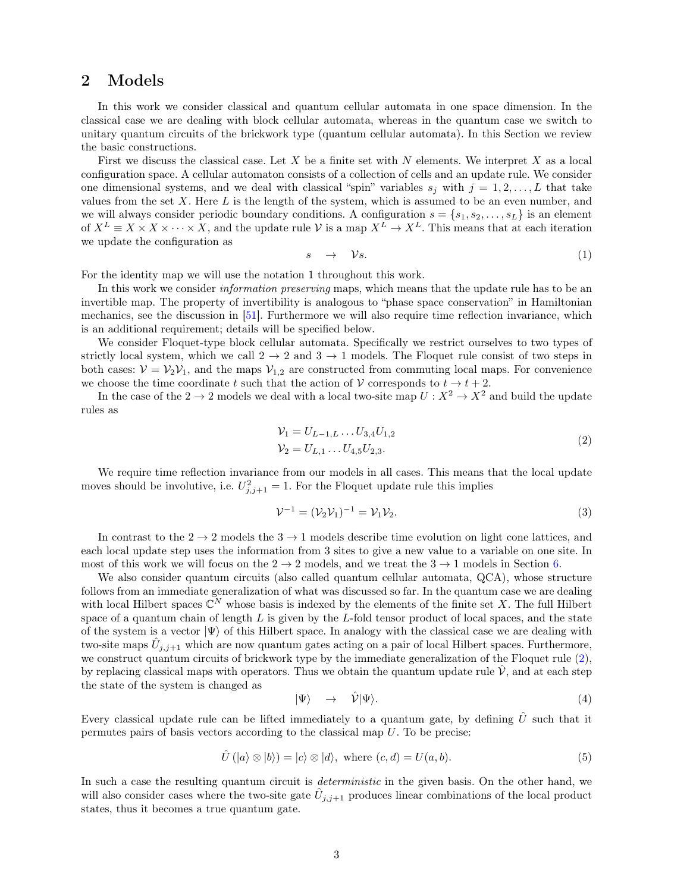### <span id="page-2-0"></span>2 Models

In this work we consider classical and quantum cellular automata in one space dimension. In the classical case we are dealing with block cellular automata, whereas in the quantum case we switch to unitary quantum circuits of the brickwork type (quantum cellular automata). In this Section we review the basic constructions.

First we discuss the classical case. Let X be a finite set with  $N$  elements. We interpret X as a local configuration space. A cellular automaton consists of a collection of cells and an update rule. We consider one dimensional systems, and we deal with classical "spin" variables  $s_j$  with  $j = 1, 2, \ldots, L$  that take values from the set  $X$ . Here  $L$  is the length of the system, which is assumed to be an even number, and we will always consider periodic boundary conditions. A configuration  $s = \{s_1, s_2, \ldots, s_L\}$  is an element of  $X^L \equiv X \times X \times \cdots \times X$ , and the update rule V is a map  $X^L \to X^L$ . This means that at each iteration we update the configuration as

$$
s \quad \rightarrow \quad \mathcal{V}s. \tag{1}
$$

For the identity map we will use the notation 1 throughout this work.

In this work we consider *information preserving* maps, which means that the update rule has to be an invertible map. The property of invertibility is analogous to "phase space conservation" in Hamiltonian mechanics, see the discussion in [\[51\]](#page-24-9). Furthermore we will also require time reflection invariance, which is an additional requirement; details will be specified below.

We consider Floquet-type block cellular automata. Specifically we restrict ourselves to two types of strictly local system, which we call  $2 \rightarrow 2$  and  $3 \rightarrow 1$  models. The Floquet rule consist of two steps in both cases:  $V = V_2 V_1$ , and the maps  $V_{1,2}$  are constructed from commuting local maps. For convenience we choose the time coordinate t such that the action of V corresponds to  $t \to t + 2$ .

In the case of the  $2 \to 2$  models we deal with a local two-site map  $U : X^2 \to X^2$  and build the update rules as

$$
\mathcal{V}_1 = U_{L-1,L} \dots U_{3,4} U_{1,2}
$$
  
\n
$$
\mathcal{V}_2 = U_{L,1} \dots U_{4,5} U_{2,3}.
$$
\n(2)

<span id="page-2-1"></span>We require time reflection invariance from our models in all cases. This means that the local update moves should be involutive, i.e.  $U_{j,j+1}^2 = 1$ . For the Floquet update rule this implies

$$
\mathcal{V}^{-1} = (\mathcal{V}_2 \mathcal{V}_1)^{-1} = \mathcal{V}_1 \mathcal{V}_2.
$$
\n(3)

In contrast to the  $2 \rightarrow 2$  models the  $3 \rightarrow 1$  models describe time evolution on light cone lattices, and each local update step uses the information from 3 sites to give a new value to a variable on one site. In most of this work we will focus on the  $2 \rightarrow 2$  models, and we treat the  $3 \rightarrow 1$  models in Section [6.](#page-16-0)

We also consider quantum circuits (also called quantum cellular automata, QCA), whose structure follows from an immediate generalization of what was discussed so far. In the quantum case we are dealing with local Hilbert spaces  $\mathbb{C}^N$  whose basis is indexed by the elements of the finite set X. The full Hilbert space of a quantum chain of length  $L$  is given by the  $L$ -fold tensor product of local spaces, and the state of the system is a vector  $|\Psi\rangle$  of this Hilbert space. In analogy with the classical case we are dealing with two-site maps  $\hat{U}_{j,j+1}$  which are now quantum gates acting on a pair of local Hilbert spaces. Furthermore, we construct quantum circuits of brickwork type by the immediate generalization of the Floquet rule [\(2\)](#page-2-1), by replacing classical maps with operators. Thus we obtain the quantum update rule  $\mathcal{V}$ , and at each step the state of the system is changed as

$$
|\Psi\rangle \quad \rightarrow \quad \hat{\mathcal{V}}|\Psi\rangle. \tag{4}
$$

Every classical update rule can be lifted immediately to a quantum gate, by defining  $\hat{U}$  such that it permutes pairs of basis vectors according to the classical map  $U$ . To be precise:

$$
\hat{U}(|a\rangle \otimes |b\rangle) = |c\rangle \otimes |d\rangle, \text{ where } (c, d) = U(a, b). \tag{5}
$$

In such a case the resulting quantum circuit is *deterministic* in the given basis. On the other hand, we will also consider cases where the two-site gate  $\hat{U}_{j,j+1}$  produces linear combinations of the local product states, thus it becomes a true quantum gate.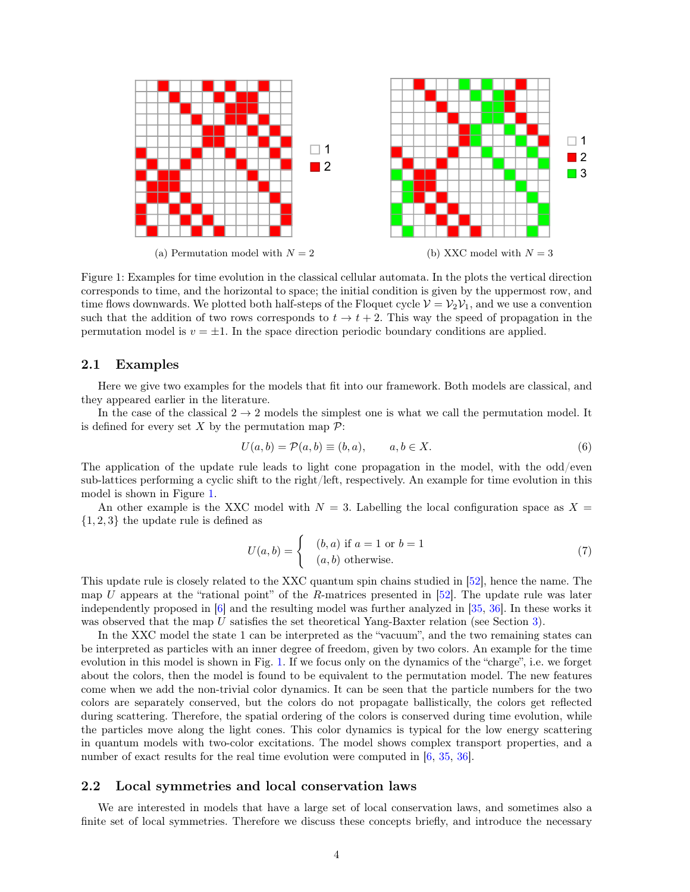<span id="page-3-0"></span>

Figure 1: Examples for time evolution in the classical cellular automata. In the plots the vertical direction corresponds to time, and the horizontal to space; the initial condition is given by the uppermost row, and time flows downwards. We plotted both half-steps of the Floquet cycle  $\mathcal{V} = \mathcal{V}_2 \mathcal{V}_1$ , and we use a convention such that the addition of two rows corresponds to  $t \to t + 2$ . This way the speed of propagation in the permutation model is  $v = \pm 1$ . In the space direction periodic boundary conditions are applied.

#### 2.1 Examples

Here we give two examples for the models that fit into our framework. Both models are classical, and they appeared earlier in the literature.

In the case of the classical  $2 \rightarrow 2$  models the simplest one is what we call the permutation model. It is defined for every set  $X$  by the permutation map  $\mathcal{P}$ :

$$
U(a,b) = \mathcal{P}(a,b) \equiv (b,a), \qquad a,b \in X. \tag{6}
$$

The application of the update rule leads to light cone propagation in the model, with the odd/even sub-lattices performing a cyclic shift to the right/left, respectively. An example for time evolution in this model is shown in Figure [1.](#page-3-0)

An other example is the XXC model with  $N = 3$ . Labelling the local configuration space as  $X =$ {1, 2, 3} the update rule is defined as

<span id="page-3-1"></span>
$$
U(a,b) = \begin{cases} (b,a) \text{ if } a=1 \text{ or } b=1\\ (a,b) \text{ otherwise.} \end{cases}
$$
 (7)

This update rule is closely related to the XXC quantum spin chains studied in [\[52\]](#page-24-10), hence the name. The map U appears at the "rational point" of the R-matrices presented in  $[52]$ . The update rule was later independently proposed in [\[6\]](#page-22-0) and the resulting model was further analyzed in [\[35,](#page-23-11) [36\]](#page-23-12). In these works it was observed that the map U satisfies the set theoretical Yang-Baxter relation (see Section [3\)](#page-5-0).

In the XXC model the state 1 can be interpreted as the "vacuum", and the two remaining states can be interpreted as particles with an inner degree of freedom, given by two colors. An example for the time evolution in this model is shown in Fig. [1.](#page-3-0) If we focus only on the dynamics of the "charge", i.e. we forget about the colors, then the model is found to be equivalent to the permutation model. The new features come when we add the non-trivial color dynamics. It can be seen that the particle numbers for the two colors are separately conserved, but the colors do not propagate ballistically, the colors get reflected during scattering. Therefore, the spatial ordering of the colors is conserved during time evolution, while the particles move along the light cones. This color dynamics is typical for the low energy scattering in quantum models with two-color excitations. The model shows complex transport properties, and a number of exact results for the real time evolution were computed in  $[6, 35, 36]$  $[6, 35, 36]$  $[6, 35, 36]$  $[6, 35, 36]$  $[6, 35, 36]$ .

#### 2.2 Local symmetries and local conservation laws

We are interested in models that have a large set of local conservation laws, and sometimes also a finite set of local symmetries. Therefore we discuss these concepts briefly, and introduce the necessary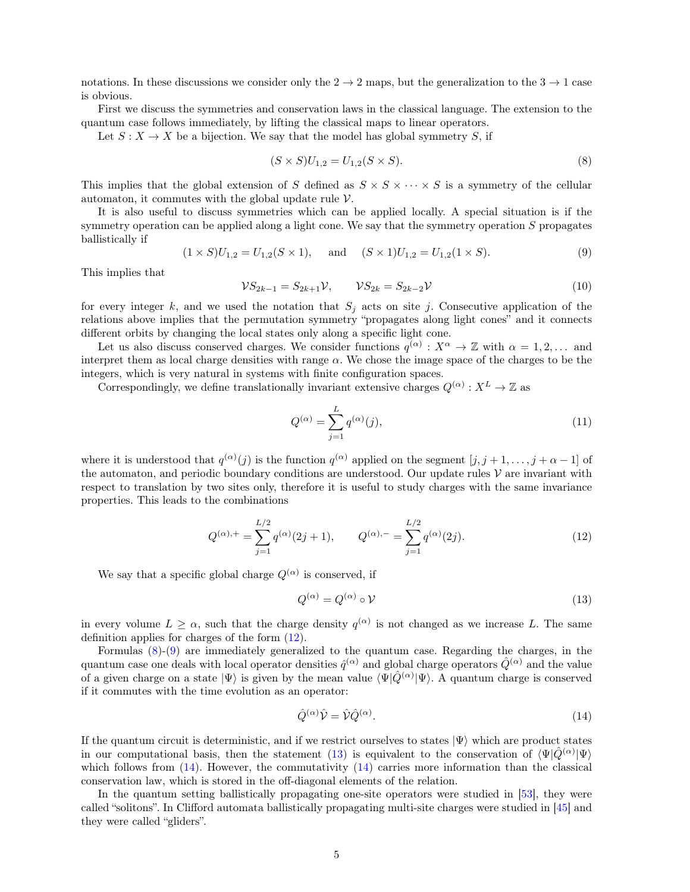notations. In these discussions we consider only the  $2 \rightarrow 2$  maps, but the generalization to the  $3 \rightarrow 1$  case is obvious.

First we discuss the symmetries and conservation laws in the classical language. The extension to the quantum case follows immediately, by lifting the classical maps to linear operators.

Let  $S: X \to X$  be a bijection. We say that the model has global symmetry S, if

<span id="page-4-1"></span>
$$
(S \times S)U_{1,2} = U_{1,2}(S \times S). \tag{8}
$$

This implies that the global extension of S defined as  $S \times S \times \cdots \times S$  is a symmetry of the cellular automaton, it commutes with the global update rule  $V$ .

It is also useful to discuss symmetries which can be applied locally. A special situation is if the symmetry operation can be applied along a light cone. We say that the symmetry operation  $S$  propagates ballistically if

<span id="page-4-2"></span>
$$
(1 \times S)U_{1,2} = U_{1,2}(S \times 1), \quad \text{and} \quad (S \times 1)U_{1,2} = U_{1,2}(1 \times S). \tag{9}
$$

This implies that

$$
\mathcal{V}S_{2k-1} = S_{2k+1}\mathcal{V}, \qquad \mathcal{V}S_{2k} = S_{2k-2}\mathcal{V}
$$
\n(10)

for every integer k, and we used the notation that  $S_j$  acts on site j. Consecutive application of the relations above implies that the permutation symmetry "propagates along light cones" and it connects different orbits by changing the local states only along a specific light cone.

Let us also discuss conserved charges. We consider functions  $q^{(\alpha)}: X^{\alpha} \to \mathbb{Z}$  with  $\alpha = 1, 2, ...$  and interpret them as local charge densities with range  $\alpha$ . We chose the image space of the charges to be the integers, which is very natural in systems with finite configuration spaces.

Correspondingly, we define translationally invariant extensive charges  $Q^{(\alpha)}: X^L \to \mathbb{Z}$  as

$$
Q^{(\alpha)} = \sum_{j=1}^{L} q^{(\alpha)}(j),
$$
\n(11)

where it is understood that  $q^{(\alpha)}(j)$  is the function  $q^{(\alpha)}$  applied on the segment  $[j, j+1, \ldots, j+\alpha-1]$  of the automaton, and periodic boundary conditions are understood. Our update rules  $\mathcal V$  are invariant with respect to translation by two sites only, therefore it is useful to study charges with the same invariance properties. This leads to the combinations

<span id="page-4-0"></span>
$$
Q^{(\alpha),+} = \sum_{j=1}^{L/2} q^{(\alpha)}(2j+1), \qquad Q^{(\alpha),-} = \sum_{j=1}^{L/2} q^{(\alpha)}(2j).
$$
 (12)

We say that a specific global charge  $Q^{(\alpha)}$  is conserved, if

<span id="page-4-3"></span>
$$
Q^{(\alpha)} = Q^{(\alpha)} \circ \mathcal{V} \tag{13}
$$

in every volume  $L \geq \alpha$ , such that the charge density  $q^{(\alpha)}$  is not changed as we increase L. The same definition applies for charges of the form [\(12\)](#page-4-0).

Formulas [\(8\)](#page-4-1)-[\(9\)](#page-4-2) are immediately generalized to the quantum case. Regarding the charges, in the quantum case one deals with local operator densities  $\hat{q}^{(\alpha)}$  and global charge operators  $\hat{Q}^{(\alpha)}$  and the value of a given charge on a state  $|\Psi\rangle$  is given by the mean value  $\langle \Psi | \hat{Q}^{(\alpha)} | \Psi \rangle$ . A quantum charge is conserved if it commutes with the time evolution as an operator:

<span id="page-4-4"></span>
$$
\hat{Q}^{(\alpha)}\hat{\mathcal{V}} = \hat{\mathcal{V}}\hat{Q}^{(\alpha)}.\tag{14}
$$

If the quantum circuit is deterministic, and if we restrict ourselves to states  $|\Psi\rangle$  which are product states in our computational basis, then the statement [\(13\)](#page-4-3) is equivalent to the conservation of  $\Psi|\hat{Q}^{(\alpha)}|\Psi\rangle$ which follows from  $(14)$ . However, the commutativity  $(14)$  carries more information than the classical conservation law, which is stored in the off-diagonal elements of the relation.

In the quantum setting ballistically propagating one-site operators were studied in [\[53\]](#page-24-11), they were called "solitons". In Clifford automata ballistically propagating multi-site charges were studied in [\[45\]](#page-24-3) and they were called "gliders".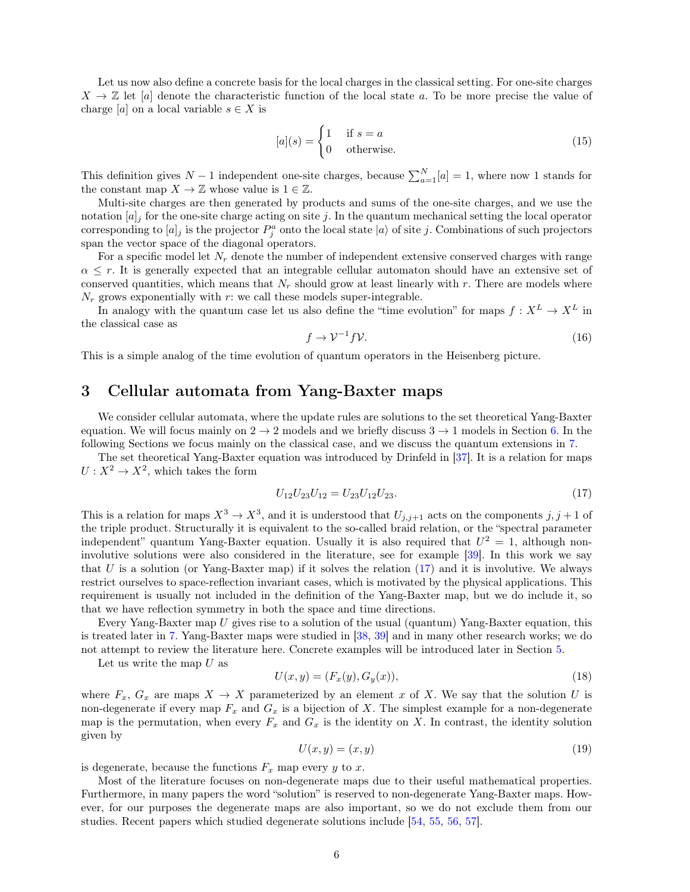Let us now also define a concrete basis for the local charges in the classical setting. For one-site charges  $X \to \mathbb{Z}$  let [a] denote the characteristic function of the local state a. To be more precise the value of charge [a] on a local variable  $s \in X$  is

$$
[a](s) = \begin{cases} 1 & \text{if } s = a \\ 0 & \text{otherwise.} \end{cases}
$$
 (15)

This definition gives  $N-1$  independent one-site charges, because  $\sum_{a=1}^{N} [a] = 1$ , where now 1 stands for the constant map  $X \to \mathbb{Z}$  whose value is  $1 \in \mathbb{Z}$ .

Multi-site charges are then generated by products and sums of the one-site charges, and we use the notation  $[a]_j$  for the one-site charge acting on site j. In the quantum mechanical setting the local operator corresponding to  $[a]_j$  is the projector  $P_j^a$  onto the local state  $|a\rangle$  of site j. Combinations of such projectors span the vector space of the diagonal operators.

For a specific model let  $N_r$  denote the number of independent extensive conserved charges with range  $\alpha \leq r$ . It is generally expected that an integrable cellular automaton should have an extensive set of conserved quantities, which means that  $N_r$  should grow at least linearly with r. There are models where  $N_r$  grows exponentially with  $r$ : we call these models super-integrable.

In analogy with the quantum case let us also define the "time evolution" for maps  $f: X^L \to X^L$  in the classical case as

$$
f \to \mathcal{V}^{-1} f \mathcal{V}.\tag{16}
$$

This is a simple analog of the time evolution of quantum operators in the Heisenberg picture.

### <span id="page-5-0"></span>3 Cellular automata from Yang-Baxter maps

We consider cellular automata, where the update rules are solutions to the set theoretical Yang-Baxter equation. We will focus mainly on  $2 \rightarrow 2$  models and we briefly discuss  $3 \rightarrow 1$  models in Section [6.](#page-16-0) In the following Sections we focus mainly on the classical case, and we discuss the quantum extensions in [7.](#page-18-0)

The set theoretical Yang-Baxter equation was introduced by Drinfeld in [\[37\]](#page-23-13). It is a relation for maps  $U: X^2 \to X^2$ , which takes the form

<span id="page-5-1"></span>
$$
U_{12}U_{23}U_{12} = U_{23}U_{12}U_{23}.\t\t(17)
$$

This is a relation for maps  $X^3 \to X^3$ , and it is understood that  $U_{j,j+1}$  acts on the components  $j, j+1$  of the triple product. Structurally it is equivalent to the so-called braid relation, or the "spectral parameter independent" quantum Yang-Baxter equation. Usually it is also required that  $U^2 = 1$ , although noninvolutive solutions were also considered in the literature, see for example [\[39\]](#page-23-15). In this work we say that  $U$  is a solution (or Yang-Baxter map) if it solves the relation  $(17)$  and it is involutive. We always restrict ourselves to space-reflection invariant cases, which is motivated by the physical applications. This requirement is usually not included in the definition of the Yang-Baxter map, but we do include it, so that we have reflection symmetry in both the space and time directions.

Every Yang-Baxter map U gives rise to a solution of the usual (quantum) Yang-Baxter equation, this is treated later in [7.](#page-18-0) Yang-Baxter maps were studied in [\[38,](#page-23-14) [39\]](#page-23-15) and in many other research works; we do not attempt to review the literature here. Concrete examples will be introduced later in Section [5.](#page-12-0)

Let us write the map  $U$  as

$$
U(x, y) = (F_x(y), G_y(x)),
$$
\n(18)

where  $F_x$ ,  $G_x$  are maps  $X \to X$  parameterized by an element x of X. We say that the solution U is non-degenerate if every map  $F_x$  and  $G_x$  is a bijection of X. The simplest example for a non-degenerate map is the permutation, when every  $F_x$  and  $G_x$  is the identity on X. In contrast, the identity solution given by

$$
U(x,y) = (x,y) \tag{19}
$$

is degenerate, because the functions  $F_x$  map every y to x.

Most of the literature focuses on non-degenerate maps due to their useful mathematical properties. Furthermore, in many papers the word "solution" is reserved to non-degenerate Yang-Baxter maps. However, for our purposes the degenerate maps are also important, so we do not exclude them from our studies. Recent papers which studied degenerate solutions include [\[54,](#page-24-12) [55,](#page-24-13) [56,](#page-24-14) [57\]](#page-24-15).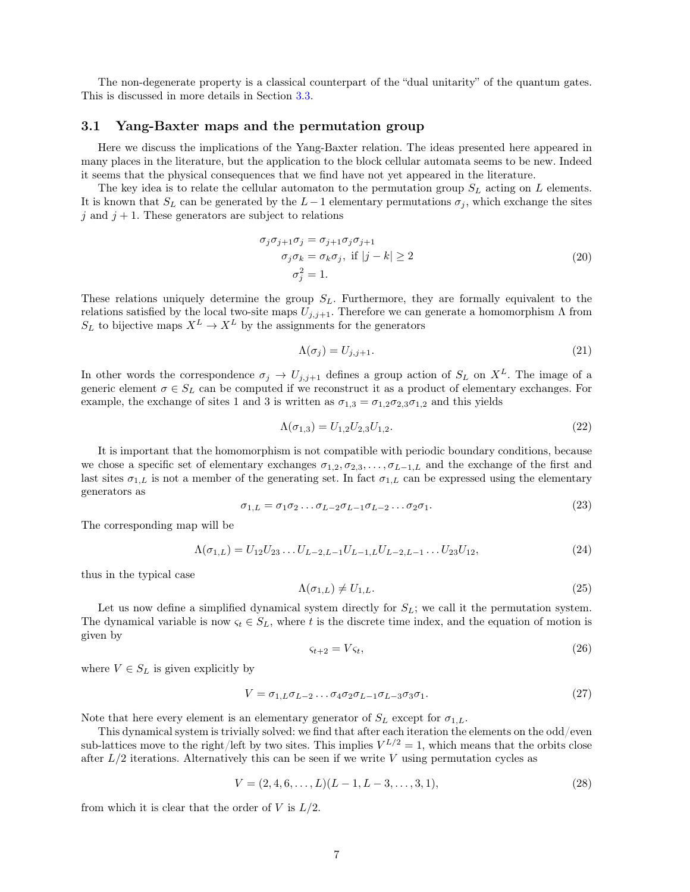The non-degenerate property is a classical counterpart of the "dual unitarity" of the quantum gates. This is discussed in more details in Section [3.3.](#page-8-0)

#### 3.1 Yang-Baxter maps and the permutation group

Here we discuss the implications of the Yang-Baxter relation. The ideas presented here appeared in many places in the literature, but the application to the block cellular automata seems to be new. Indeed it seems that the physical consequences that we find have not yet appeared in the literature.

The key idea is to relate the cellular automaton to the permutation group  $S_L$  acting on L elements. It is known that  $S_L$  can be generated by the  $L-1$  elementary permutations  $\sigma_j$ , which exchange the sites  $j$  and  $j + 1$ . These generators are subject to relations

$$
\sigma_j \sigma_{j+1} \sigma_j = \sigma_{j+1} \sigma_j \sigma_{j+1}
$$
  
\n
$$
\sigma_j \sigma_k = \sigma_k \sigma_j, \text{ if } |j-k| \ge 2
$$
  
\n
$$
\sigma_j^2 = 1.
$$
\n(20)

These relations uniquely determine the group  $S_L$ . Furthermore, they are formally equivalent to the relations satisfied by the local two-site maps  $U_{j,j+1}$ . Therefore we can generate a homomorphism  $\Lambda$  from  $S_L$  to bijective maps  $X^L \to X^L$  by the assignments for the generators

$$
\Lambda(\sigma_j) = U_{j,j+1}.\tag{21}
$$

In other words the correspondence  $\sigma_j \to U_{j,j+1}$  defines a group action of  $S_L$  on  $X^L$ . The image of a generic element  $\sigma \in S_L$  can be computed if we reconstruct it as a product of elementary exchanges. For example, the exchange of sites 1 and 3 is written as  $\sigma_{1,3} = \sigma_{1,2}\sigma_{2,3}\sigma_{1,2}$  and this yields

$$
\Lambda(\sigma_{1,3}) = U_{1,2} U_{2,3} U_{1,2}.
$$
\n(22)

It is important that the homomorphism is not compatible with periodic boundary conditions, because we chose a specific set of elementary exchanges  $\sigma_{1,2}, \sigma_{2,3}, \ldots, \sigma_{L-1,L}$  and the exchange of the first and last sites  $\sigma_{1,L}$  is not a member of the generating set. In fact  $\sigma_{1,L}$  can be expressed using the elementary generators as

$$
\sigma_{1,L} = \sigma_1 \sigma_2 \dots \sigma_{L-2} \sigma_{L-1} \sigma_{L-2} \dots \sigma_2 \sigma_1. \tag{23}
$$

The corresponding map will be

<span id="page-6-1"></span>
$$
\Lambda(\sigma_{1,L}) = U_{12}U_{23}\dots U_{L-2,L-1}U_{L-1,L}U_{L-2,L-1}\dots U_{23}U_{12},\tag{24}
$$

thus in the typical case

<span id="page-6-0"></span>
$$
\Lambda(\sigma_{1,L}) \neq U_{1,L}.\tag{25}
$$

Let us now define a simplified dynamical system directly for  $S_L$ ; we call it the permutation system. The dynamical variable is now  $\varsigma_t \in S_L$ , where t is the discrete time index, and the equation of motion is given by

<span id="page-6-2"></span>
$$
\varsigma_{t+2} = V \varsigma_t,\tag{26}
$$

where  $V \in S_L$  is given explicitly by

<span id="page-6-3"></span>
$$
V = \sigma_{1,L}\sigma_{L-2}\dots\sigma_4\sigma_2\sigma_{L-1}\sigma_{L-3}\sigma_3\sigma_1. \tag{27}
$$

Note that here every element is an elementary generator of  $S_L$  except for  $\sigma_{1,L}$ .

This dynamical system is trivially solved: we find that after each iteration the elements on the odd/even sub-lattices move to the right/left by two sites. This implies  $V^{L/2} = 1$ , which means that the orbits close after  $L/2$  iterations. Alternatively this can be seen if we write V using permutation cycles as

$$
V = (2, 4, 6, \dots, L)(L - 1, L - 3, \dots, 3, 1),\tag{28}
$$

from which it is clear that the order of  $V$  is  $L/2$ .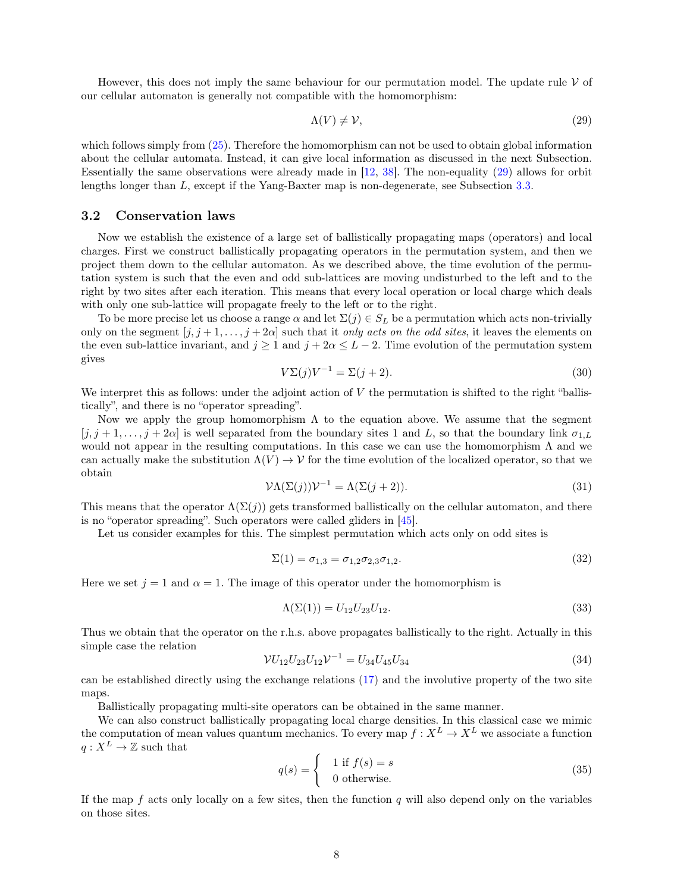However, this does not imply the same behaviour for our permutation model. The update rule  $\mathcal V$  of our cellular automaton is generally not compatible with the homomorphism:

<span id="page-7-0"></span>
$$
\Lambda(V) \neq \mathcal{V},\tag{29}
$$

which follows simply from [\(25\)](#page-6-0). Therefore the homomorphism can not be used to obtain global information about the cellular automata. Instead, it can give local information as discussed in the next Subsection. Essentially the same observations were already made in [\[12,](#page-22-6) [38\]](#page-23-14). The non-equality [\(29\)](#page-7-0) allows for orbit lengths longer than L, except if the Yang-Baxter map is non-degenerate, see Subsection [3.3.](#page-8-0)

#### 3.2 Conservation laws

Now we establish the existence of a large set of ballistically propagating maps (operators) and local charges. First we construct ballistically propagating operators in the permutation system, and then we project them down to the cellular automaton. As we described above, the time evolution of the permutation system is such that the even and odd sub-lattices are moving undisturbed to the left and to the right by two sites after each iteration. This means that every local operation or local charge which deals with only one sub-lattice will propagate freely to the left or to the right.

To be more precise let us choose a range  $\alpha$  and let  $\Sigma(j) \in S_L$  be a permutation which acts non-trivially only on the segment  $[j, j+1, \ldots, j+2\alpha]$  such that it only acts on the odd sites, it leaves the elements on the even sub-lattice invariant, and  $j \ge 1$  and  $j + 2\alpha \le L - 2$ . Time evolution of the permutation system gives

$$
V\Sigma(j)V^{-1} = \Sigma(j+2). \tag{30}
$$

We interpret this as follows: under the adjoint action of  $V$  the permutation is shifted to the right "ballistically", and there is no "operator spreading".

Now we apply the group homomorphism  $\Lambda$  to the equation above. We assume that the segment  $[j, j+1, \ldots, j+2\alpha]$  is well separated from the boundary sites 1 and L, so that the boundary link  $\sigma_{1,L}$ would not appear in the resulting computations. In this case we can use the homomorphism  $\Lambda$  and we can actually make the substitution  $\Lambda(V) \to V$  for the time evolution of the localized operator, so that we obtain

<span id="page-7-1"></span>
$$
\mathcal{V}\Lambda(\Sigma(j))\mathcal{V}^{-1} = \Lambda(\Sigma(j+2)).\tag{31}
$$

This means that the operator  $\Lambda(\Sigma(j))$  gets transformed ballistically on the cellular automaton, and there is no "operator spreading". Such operators were called gliders in [\[45\]](#page-24-3).

Let us consider examples for this. The simplest permutation which acts only on odd sites is

$$
\Sigma(1) = \sigma_{1,3} = \sigma_{1,2}\sigma_{2,3}\sigma_{1,2}.
$$
\n(32)

Here we set  $j = 1$  and  $\alpha = 1$ . The image of this operator under the homomorphism is

<span id="page-7-2"></span>
$$
\Lambda(\Sigma(1)) = U_{12} U_{23} U_{12}.
$$
\n(33)

Thus we obtain that the operator on the r.h.s. above propagates ballistically to the right. Actually in this simple case the relation

$$
\mathcal{V}U_{12}U_{23}U_{12}\mathcal{V}^{-1} = U_{34}U_{45}U_{34} \tag{34}
$$

can be established directly using the exchange relations [\(17\)](#page-5-1) and the involutive property of the two site maps.

Ballistically propagating multi-site operators can be obtained in the same manner.

We can also construct ballistically propagating local charge densities. In this classical case we mimic the computation of mean values quantum mechanics. To every map  $f: X^L \to X^L$  we associate a function  $q: X^L \to \mathbb{Z}$  such that

$$
q(s) = \begin{cases} 1 & \text{if } f(s) = s \\ 0 & \text{otherwise.} \end{cases}
$$
 (35)

If the map f acts only locally on a few sites, then the function  $q$  will also depend only on the variables on those sites.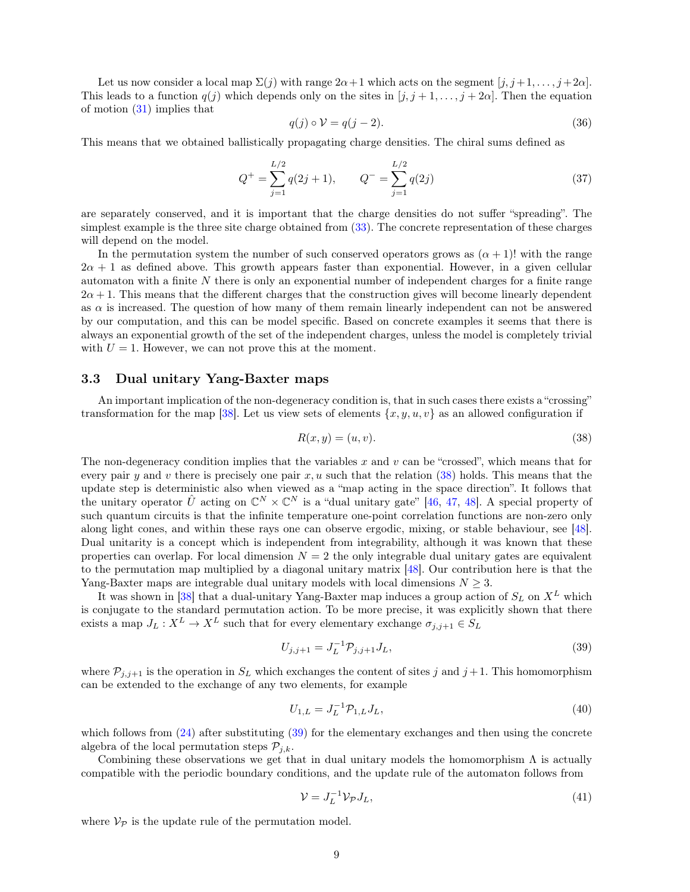Let us now consider a local map  $\Sigma(j)$  with range  $2\alpha+1$  which acts on the segment  $[j, j+1, \ldots, j+2\alpha]$ . This leads to a function  $q(j)$  which depends only on the sites in  $[j, j + 1, \ldots, j + 2\alpha]$ . Then the equation of motion [\(31\)](#page-7-1) implies that

$$
q(j) \circ \mathcal{V} = q(j-2). \tag{36}
$$

This means that we obtained ballistically propagating charge densities. The chiral sums defined as

$$
Q^{+} = \sum_{j=1}^{L/2} q(2j+1), \qquad Q^{-} = \sum_{j=1}^{L/2} q(2j)
$$
 (37)

are separately conserved, and it is important that the charge densities do not suffer "spreading". The simplest example is the three site charge obtained from [\(33\)](#page-7-2). The concrete representation of these charges will depend on the model.

In the permutation system the number of such conserved operators grows as  $(\alpha + 1)!$  with the range  $2\alpha + 1$  as defined above. This growth appears faster than exponential. However, in a given cellular automaton with a finite N there is only an exponential number of independent charges for a finite range  $2\alpha + 1$ . This means that the different charges that the construction gives will become linearly dependent as  $\alpha$  is increased. The question of how many of them remain linearly independent can not be answered by our computation, and this can be model specific. Based on concrete examples it seems that there is always an exponential growth of the set of the independent charges, unless the model is completely trivial with  $U = 1$ . However, we can not prove this at the moment.

#### <span id="page-8-0"></span>3.3 Dual unitary Yang-Baxter maps

An important implication of the non-degeneracy condition is, that in such cases there exists a "crossing" transformation for the map [\[38\]](#page-23-14). Let us view sets of elements  $\{x, y, u, v\}$  as an allowed configuration if

<span id="page-8-1"></span>
$$
R(x, y) = (u, v). \tag{38}
$$

The non-degeneracy condition implies that the variables  $x$  and  $v$  can be "crossed", which means that for every pair y and v there is precisely one pair x, u such that the relation  $(38)$  holds. This means that the update step is deterministic also when viewed as a "map acting in the space direction". It follows that the unitary operator  $\hat{U}$  acting on  $\mathbb{C}^N \times \mathbb{C}^N$  is a "dual unitary gate" [\[46,](#page-24-4) [47,](#page-24-5) [48\]](#page-24-6). A special property of such quantum circuits is that the infinite temperature one-point correlation functions are non-zero only along light cones, and within these rays one can observe ergodic, mixing, or stable behaviour, see [\[48\]](#page-24-6). Dual unitarity is a concept which is independent from integrability, although it was known that these properties can overlap. For local dimension  $N = 2$  the only integrable dual unitary gates are equivalent to the permutation map multiplied by a diagonal unitary matrix [\[48\]](#page-24-6). Our contribution here is that the Yang-Baxter maps are integrable dual unitary models with local dimensions  $N \geq 3$ .

It was shown in [\[38\]](#page-23-14) that a dual-unitary Yang-Baxter map induces a group action of  $S_L$  on  $X^L$  which is conjugate to the standard permutation action. To be more precise, it was explicitly shown that there exists a map  $J_L: X^L \to X^L$  such that for every elementary exchange  $\sigma_{j,j+1} \in S_L$ 

<span id="page-8-2"></span>
$$
U_{j,j+1} = J_L^{-1} \mathcal{P}_{j,j+1} J_L,\tag{39}
$$

where  $\mathcal{P}_{i,j+1}$  is the operation in  $S_L$  which exchanges the content of sites j and j + 1. This homomorphism can be extended to the exchange of any two elements, for example

$$
U_{1,L} = J_L^{-1} \mathcal{P}_{1,L} J_L,\tag{40}
$$

which follows from  $(24)$  after substituting  $(39)$  for the elementary exchanges and then using the concrete algebra of the local permutation steps  $\mathcal{P}_{j,k}$ .

Combining these observations we get that in dual unitary models the homomorphism  $\Lambda$  is actually compatible with the periodic boundary conditions, and the update rule of the automaton follows from

$$
\mathcal{V} = J_L^{-1} \mathcal{V}_P J_L,\tag{41}
$$

where  $V_P$  is the update rule of the permutation model.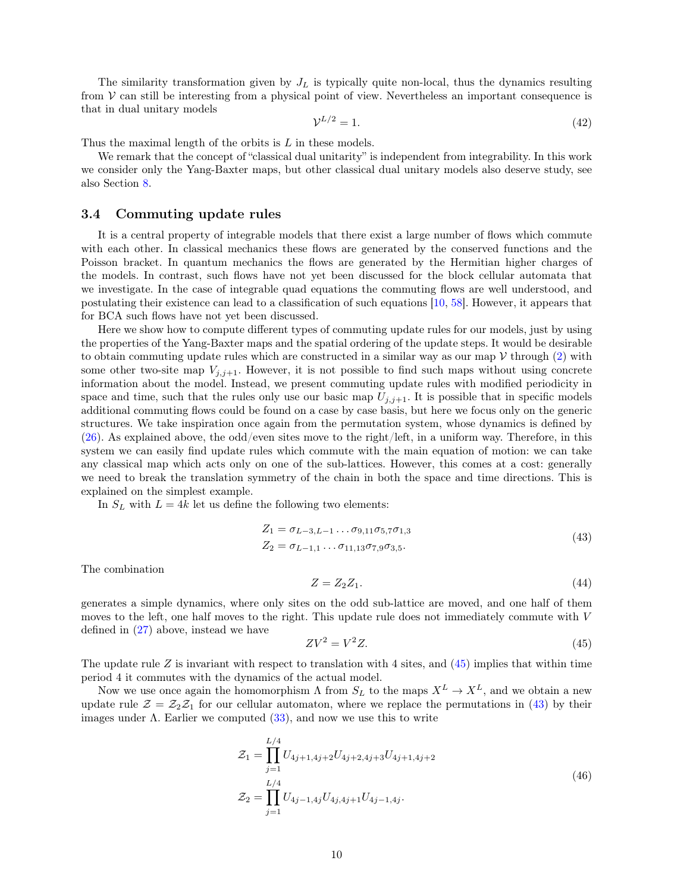The similarity transformation given by  $J_L$  is typically quite non-local, thus the dynamics resulting from  $V$  can still be interesting from a physical point of view. Nevertheless an important consequence is that in dual unitary models

<span id="page-9-2"></span>
$$
\mathcal{V}^{L/2} = 1.\tag{42}
$$

Thus the maximal length of the orbits is L in these models.

We remark that the concept of "classical dual unitarity" is independent from integrability. In this work we consider only the Yang-Baxter maps, but other classical dual unitary models also deserve study, see also Section [8.](#page-20-0)

#### 3.4 Commuting update rules

It is a central property of integrable models that there exist a large number of flows which commute with each other. In classical mechanics these flows are generated by the conserved functions and the Poisson bracket. In quantum mechanics the flows are generated by the Hermitian higher charges of the models. In contrast, such flows have not yet been discussed for the block cellular automata that we investigate. In the case of integrable quad equations the commuting flows are well understood, and postulating their existence can lead to a classification of such equations [\[10,](#page-22-4) [58\]](#page-24-16). However, it appears that for BCA such flows have not yet been discussed.

Here we show how to compute different types of commuting update rules for our models, just by using the properties of the Yang-Baxter maps and the spatial ordering of the update steps. It would be desirable to obtain commuting update rules which are constructed in a similar way as our map  $\mathcal V$  through [\(2\)](#page-2-1) with some other two-site map  $V_{i,j+1}$ . However, it is not possible to find such maps without using concrete information about the model. Instead, we present commuting update rules with modified periodicity in space and time, such that the rules only use our basic map  $U_{i,j+1}$ . It is possible that in specific models additional commuting flows could be found on a case by case basis, but here we focus only on the generic structures. We take inspiration once again from the permutation system, whose dynamics is defined by [\(26\)](#page-6-2). As explained above, the odd/even sites move to the right/left, in a uniform way. Therefore, in this system we can easily find update rules which commute with the main equation of motion: we can take any classical map which acts only on one of the sub-lattices. However, this comes at a cost: generally we need to break the translation symmetry of the chain in both the space and time directions. This is explained on the simplest example.

<span id="page-9-1"></span>In  $S_L$  with  $L = 4k$  let us define the following two elements:

$$
Z_1 = \sigma_{L-3, L-1} \dots \sigma_{9,11} \sigma_{5,7} \sigma_{1,3}
$$
  
\n
$$
Z_2 = \sigma_{L-1,1} \dots \sigma_{11,13} \sigma_{7,9} \sigma_{3,5}.
$$
\n(43)

The combination

$$
Z = Z_2 Z_1. \tag{44}
$$

generates a simple dynamics, where only sites on the odd sub-lattice are moved, and one half of them moves to the left, one half moves to the right. This update rule does not immediately commute with V defined in [\(27\)](#page-6-3) above, instead we have

<span id="page-9-0"></span>
$$
ZV^2 = V^2Z.\t\t(45)
$$

The update rule  $Z$  is invariant with respect to translation with 4 sites, and  $(45)$  implies that within time period 4 it commutes with the dynamics of the actual model.

Now we use once again the homomorphism  $\Lambda$  from  $S_L$  to the maps  $X^L \to X^L$ , and we obtain a new update rule  $\mathcal{Z} = \mathcal{Z}_2 \mathcal{Z}_1$  for our cellular automaton, where we replace the permutations in [\(43\)](#page-9-1) by their images under  $\Lambda$ . Earlier we computed  $(33)$ , and now we use this to write

$$
\mathcal{Z}_1 = \prod_{j=1}^{L/4} U_{4j+1, 4j+2} U_{4j+2, 4j+3} U_{4j+1, 4j+2}
$$
\n
$$
\mathcal{Z}_2 = \prod_{j=1}^{L/4} U_{4j-1, 4j} U_{4j, 4j+1} U_{4j-1, 4j}.
$$
\n(46)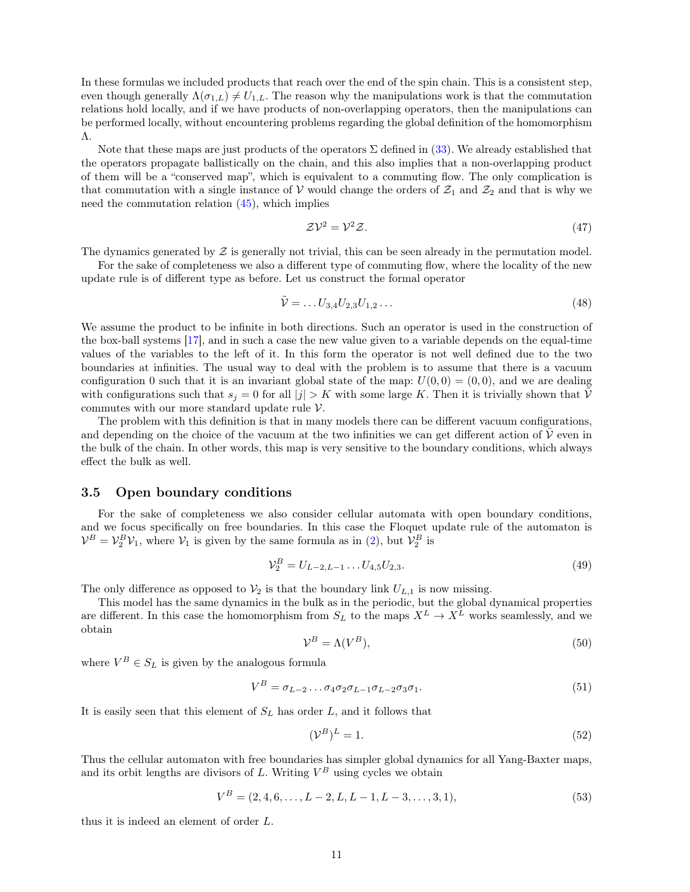In these formulas we included products that reach over the end of the spin chain. This is a consistent step, even though generally  $\Lambda(\sigma_{1,L}) \neq U_{1,L}$ . The reason why the manipulations work is that the commutation relations hold locally, and if we have products of non-overlapping operators, then the manipulations can be performed locally, without encountering problems regarding the global definition of the homomorphism Λ.

Note that these maps are just products of the operators  $\Sigma$  defined in [\(33\)](#page-7-2). We already established that the operators propagate ballistically on the chain, and this also implies that a non-overlapping product of them will be a "conserved map", which is equivalent to a commuting flow. The only complication is that commutation with a single instance of V would change the orders of  $\mathcal{Z}_1$  and  $\mathcal{Z}_2$  and that is why we need the commutation relation [\(45\)](#page-9-0), which implies

$$
\mathcal{Z}\mathcal{V}^2 = \mathcal{V}^2\mathcal{Z}.\tag{47}
$$

The dynamics generated by  $\mathcal Z$  is generally not trivial, this can be seen already in the permutation model.

For the sake of completeness we also a different type of commuting flow, where the locality of the new update rule is of different type as before. Let us construct the formal operator

$$
\tilde{\mathcal{V}} = \dots U_{3,4} U_{2,3} U_{1,2} \dots \tag{48}
$$

We assume the product to be infinite in both directions. Such an operator is used in the construction of the box-ball systems [\[17\]](#page-22-11), and in such a case the new value given to a variable depends on the equal-time values of the variables to the left of it. In this form the operator is not well defined due to the two boundaries at infinities. The usual way to deal with the problem is to assume that there is a vacuum configuration 0 such that it is an invariant global state of the map:  $U(0,0) = (0,0)$ , and we are dealing with configurations such that  $s_j = 0$  for all  $|j| > K$  with some large K. Then it is trivially shown that  $\mathcal{V}$ commutes with our more standard update rule V.

The problem with this definition is that in many models there can be different vacuum configurations, and depending on the choice of the vacuum at the two infinities we can get different action of  $V$  even in the bulk of the chain. In other words, this map is very sensitive to the boundary conditions, which always effect the bulk as well.

#### 3.5 Open boundary conditions

For the sake of completeness we also consider cellular automata with open boundary conditions, and we focus specifically on free boundaries. In this case the Floquet update rule of the automaton is  $\mathcal{V}^B = \mathcal{V}_2^B \mathcal{V}_1$ , where  $\mathcal{V}_1$  is given by the same formula as in [\(2\)](#page-2-1), but  $\mathcal{V}_2^B$  is

$$
\mathcal{V}_2^B = U_{L-2,L-1} \dots U_{4,5} U_{2,3}.\tag{49}
$$

The only difference as opposed to  $V_2$  is that the boundary link  $U_{L,1}$  is now missing.

This model has the same dynamics in the bulk as in the periodic, but the global dynamical properties are different. In this case the homomorphism from  $S_L$  to the maps  $X^L \to X^L$  works seamlessly, and we obtain

$$
\mathcal{V}^B = \Lambda(V^B),\tag{50}
$$

where  $V^B \in S_L$  is given by the analogous formula

$$
V^B = \sigma_{L-2} \dots \sigma_4 \sigma_2 \sigma_{L-1} \sigma_{L-2} \sigma_3 \sigma_1. \tag{51}
$$

It is easily seen that this element of  $S_L$  has order  $L$ , and it follows that

$$
(\mathcal{V}^B)^L = 1.\tag{52}
$$

Thus the cellular automaton with free boundaries has simpler global dynamics for all Yang-Baxter maps, and its orbit lengths are divisors of L. Writing  $V^B$  using cycles we obtain

$$
V^B = (2, 4, 6, \dots, L-2, L, L-1, L-3, \dots, 3, 1),
$$
\n<sup>(53)</sup>

thus it is indeed an element of order L.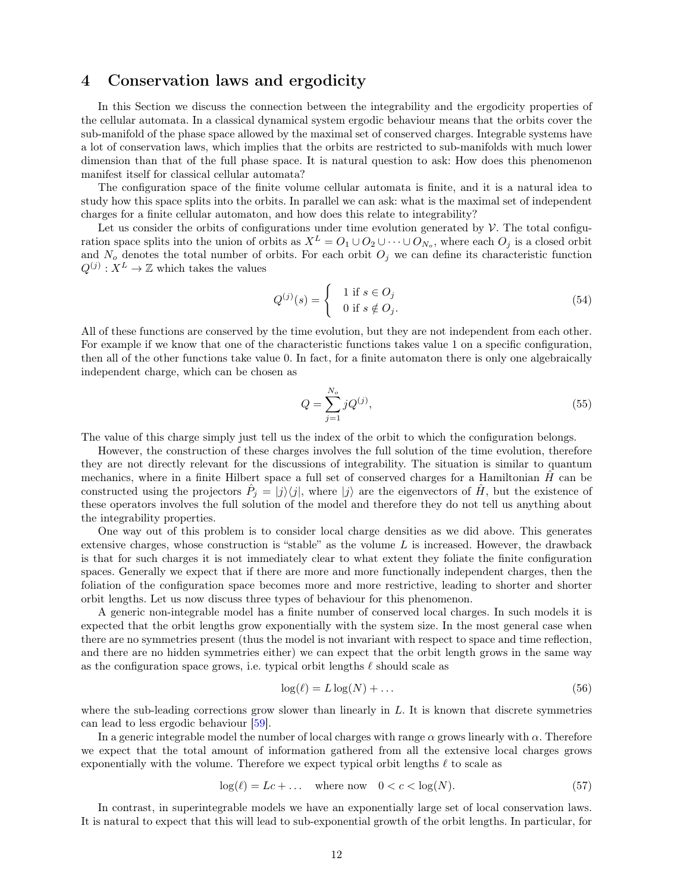### 4 Conservation laws and ergodicity

In this Section we discuss the connection between the integrability and the ergodicity properties of the cellular automata. In a classical dynamical system ergodic behaviour means that the orbits cover the sub-manifold of the phase space allowed by the maximal set of conserved charges. Integrable systems have a lot of conservation laws, which implies that the orbits are restricted to sub-manifolds with much lower dimension than that of the full phase space. It is natural question to ask: How does this phenomenon manifest itself for classical cellular automata?

The configuration space of the finite volume cellular automata is finite, and it is a natural idea to study how this space splits into the orbits. In parallel we can ask: what is the maximal set of independent charges for a finite cellular automaton, and how does this relate to integrability?

Let us consider the orbits of configurations under time evolution generated by  $\mathcal V$ . The total configurations ration space splits into the union of orbits as  $X^L = O_1 \cup O_2 \cup \cdots \cup O_{N_o}$ , where each  $O_j$  is a closed orbit and  $N<sub>o</sub>$  denotes the total number of orbits. For each orbit  $O<sub>j</sub>$  we can define its characteristic function  $Q^{(j)}: X^L \to \mathbb{Z}$  which takes the values

$$
Q^{(j)}(s) = \begin{cases} 1 \text{ if } s \in O_j \\ 0 \text{ if } s \notin O_j. \end{cases}
$$
 (54)

All of these functions are conserved by the time evolution, but they are not independent from each other. For example if we know that one of the characteristic functions takes value 1 on a specific configuration, then all of the other functions take value 0. In fact, for a finite automaton there is only one algebraically independent charge, which can be chosen as

$$
Q = \sum_{j=1}^{N_o} jQ^{(j)},\tag{55}
$$

The value of this charge simply just tell us the index of the orbit to which the configuration belongs.

However, the construction of these charges involves the full solution of the time evolution, therefore they are not directly relevant for the discussions of integrability. The situation is similar to quantum mechanics, where in a finite Hilbert space a full set of conserved charges for a Hamiltonian  $H$  can be constructed using the projectors  $\hat{P}_j = |j\rangle\langle j|$ , where  $|j\rangle$  are the eigenvectors of  $\hat{H}$ , but the existence of these operators involves the full solution of the model and therefore they do not tell us anything about the integrability properties.

One way out of this problem is to consider local charge densities as we did above. This generates extensive charges, whose construction is "stable" as the volume  $L$  is increased. However, the drawback is that for such charges it is not immediately clear to what extent they foliate the finite configuration spaces. Generally we expect that if there are more and more functionally independent charges, then the foliation of the configuration space becomes more and more restrictive, leading to shorter and shorter orbit lengths. Let us now discuss three types of behaviour for this phenomenon.

A generic non-integrable model has a finite number of conserved local charges. In such models it is expected that the orbit lengths grow exponentially with the system size. In the most general case when there are no symmetries present (thus the model is not invariant with respect to space and time reflection, and there are no hidden symmetries either) we can expect that the orbit length grows in the same way as the configuration space grows, i.e. typical orbit lengths  $\ell$  should scale as

$$
\log(\ell) = L \log(N) + \dots \tag{56}
$$

where the sub-leading corrections grow slower than linearly in  $L$ . It is known that discrete symmetries can lead to less ergodic behaviour [\[59\]](#page-24-17).

In a generic integrable model the number of local charges with range  $\alpha$  grows linearly with  $\alpha$ . Therefore we expect that the total amount of information gathered from all the extensive local charges grows exponentially with the volume. Therefore we expect typical orbit lengths  $\ell$  to scale as

<span id="page-11-0"></span>
$$
\log(\ell) = Lc + \dots \quad \text{where now} \quad 0 < c < \log(N). \tag{57}
$$

In contrast, in superintegrable models we have an exponentially large set of local conservation laws. It is natural to expect that this will lead to sub-exponential growth of the orbit lengths. In particular, for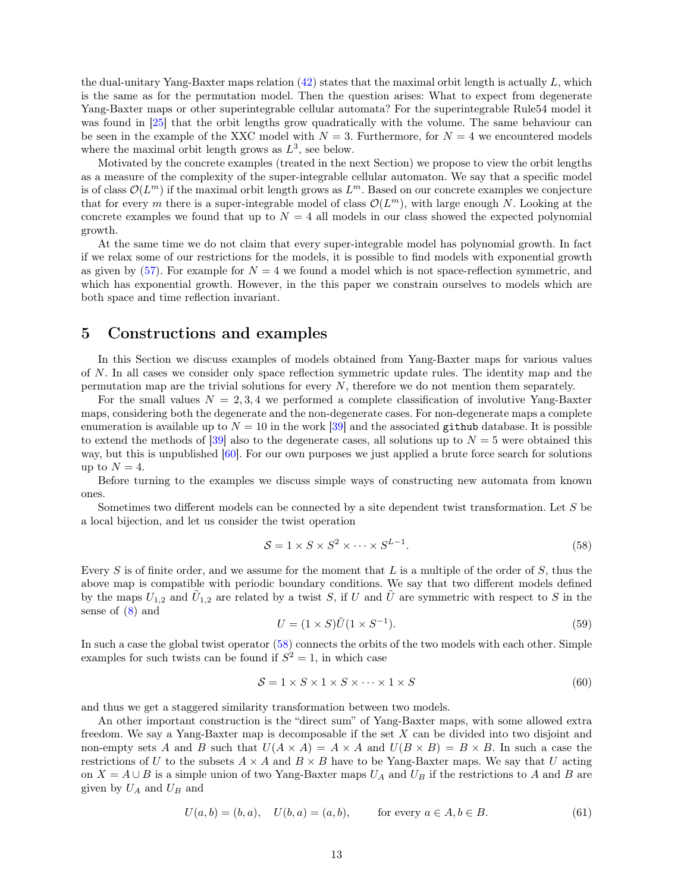the dual-unitary Yang-Baxter maps relation  $(42)$  states that the maximal orbit length is actually L, which is the same as for the permutation model. Then the question arises: What to expect from degenerate Yang-Baxter maps or other superintegrable cellular automata? For the superintegrable Rule54 model it was found in [\[25\]](#page-23-1) that the orbit lengths grow quadratically with the volume. The same behaviour can be seen in the example of the XXC model with  $N = 3$ . Furthermore, for  $N = 4$  we encountered models where the maximal orbit length grows as  $L^3$ , see below.

Motivated by the concrete examples (treated in the next Section) we propose to view the orbit lengths as a measure of the complexity of the super-integrable cellular automaton. We say that a specific model is of class  $\mathcal{O}(L^m)$  if the maximal orbit length grows as  $L^m$ . Based on our concrete examples we conjecture that for every m there is a super-integrable model of class  $\mathcal{O}(L^m)$ , with large enough N. Looking at the concrete examples we found that up to  $N = 4$  all models in our class showed the expected polynomial growth.

At the same time we do not claim that every super-integrable model has polynomial growth. In fact if we relax some of our restrictions for the models, it is possible to find models with exponential growth as given by [\(57\)](#page-11-0). For example for  $N = 4$  we found a model which is not space-reflection symmetric, and which has exponential growth. However, in the this paper we constrain ourselves to models which are both space and time reflection invariant.

### <span id="page-12-0"></span>5 Constructions and examples

In this Section we discuss examples of models obtained from Yang-Baxter maps for various values of N. In all cases we consider only space reflection symmetric update rules. The identity map and the permutation map are the trivial solutions for every  $N$ , therefore we do not mention them separately.

For the small values  $N = 2, 3, 4$  we performed a complete classification of involutive Yang-Baxter maps, considering both the degenerate and the non-degenerate cases. For non-degenerate maps a complete enumeration is available up to  $N = 10$  in the work [\[39\]](#page-23-15) and the associated github database. It is possible to extend the methods of [\[39\]](#page-23-15) also to the degenerate cases, all solutions up to  $N=5$  were obtained this way, but this is unpublished [\[60\]](#page-24-18). For our own purposes we just applied a brute force search for solutions up to  $N = 4$ .

Before turning to the examples we discuss simple ways of constructing new automata from known ones.

Sometimes two different models can be connected by a site dependent twist transformation. Let S be a local bijection, and let us consider the twist operation

<span id="page-12-1"></span>
$$
S = 1 \times S \times S^2 \times \dots \times S^{L-1}.
$$
\n<sup>(58)</sup>

Every S is of finite order, and we assume for the moment that L is a multiple of the order of S, thus the above map is compatible with periodic boundary conditions. We say that two different models defined by the maps  $U_{1,2}$  and  $\tilde{U}_{1,2}$  are related by a twist S, if U and  $\tilde{U}$  are symmetric with respect to S in the sense of [\(8\)](#page-4-1) and

$$
U = (1 \times S)\tilde{U}(1 \times S^{-1}).\tag{59}
$$

In such a case the global twist operator [\(58\)](#page-12-1) connects the orbits of the two models with each other. Simple examples for such twists can be found if  $S^2 = 1$ , in which case

<span id="page-12-2"></span>
$$
S = 1 \times S \times 1 \times S \times \dots \times 1 \times S \tag{60}
$$

and thus we get a staggered similarity transformation between two models.

An other important construction is the "direct sum" of Yang-Baxter maps, with some allowed extra freedom. We say a Yang-Baxter map is decomposable if the set X can be divided into two disjoint and non-empty sets A and B such that  $U(A \times A) = A \times A$  and  $U(B \times B) = B \times B$ . In such a case the restrictions of U to the subsets  $A \times A$  and  $B \times B$  have to be Yang-Baxter maps. We say that U acting on  $X = A \cup B$  is a simple union of two Yang-Baxter maps  $U_A$  and  $U_B$  if the restrictions to A and B are given by  $U_A$  and  $U_B$  and

$$
U(a, b) = (b, a), \quad U(b, a) = (a, b), \qquad \text{for every } a \in A, b \in B. \tag{61}
$$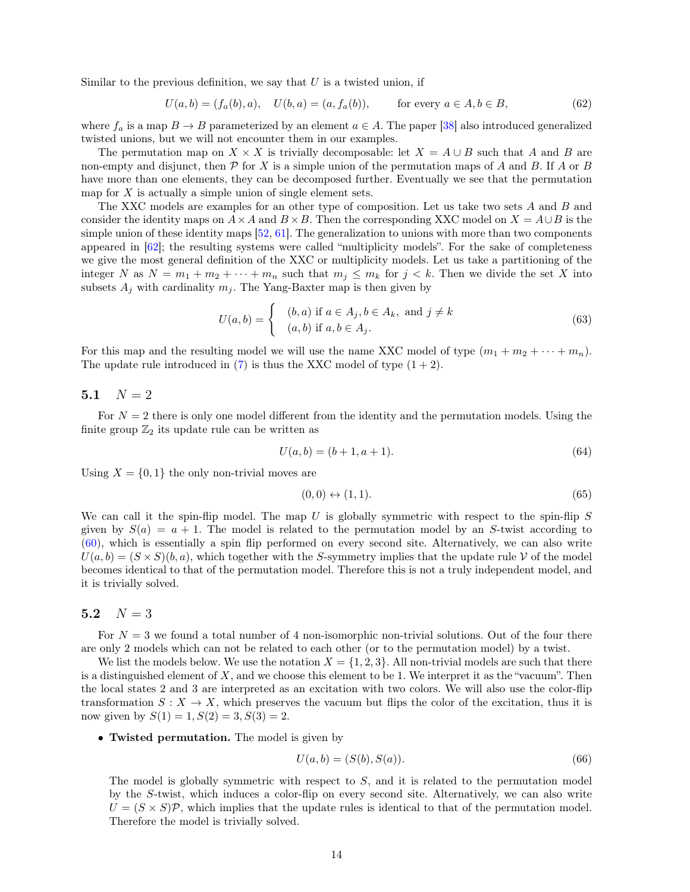Similar to the previous definition, we say that  $U$  is a twisted union, if

$$
U(a,b) = (f_a(b), a), \quad U(b,a) = (a, f_a(b)), \qquad \text{for every } a \in A, b \in B,
$$
 (62)

where  $f_a$  is a map  $B \to B$  parameterized by an element  $a \in A$ . The paper [\[38\]](#page-23-14) also introduced generalized twisted unions, but we will not encounter them in our examples.

The permutation map on  $X \times X$  is trivially decomposable: let  $X = A \cup B$  such that A and B are non-empty and disjunct, then  $P$  for X is a simple union of the permutation maps of A and B. If A or B have more than one elements, they can be decomposed further. Eventually we see that the permutation map for  $X$  is actually a simple union of single element sets.

The XXC models are examples for an other type of composition. Let us take two sets A and B and consider the identity maps on  $A \times A$  and  $B \times B$ . Then the corresponding XXC model on  $X = A \cup B$  is the simple union of these identity maps [\[52,](#page-24-10) [61\]](#page-24-19). The generalization to unions with more than two components appeared in [\[62\]](#page-25-0); the resulting systems were called "multiplicity models". For the sake of completeness we give the most general definition of the XXC or multiplicity models. Let us take a partitioning of the integer N as  $N = m_1 + m_2 + \cdots + m_n$  such that  $m_j \le m_k$  for  $j < k$ . Then we divide the set X into subsets  $A_i$  with cardinality  $m_i$ . The Yang-Baxter map is then given by

$$
U(a,b) = \begin{cases} (b,a) \text{ if } a \in A_j, b \in A_k, \text{ and } j \neq k \\ (a,b) \text{ if } a, b \in A_j. \end{cases}
$$
 (63)

For this map and the resulting model we will use the name XXC model of type  $(m_1 + m_2 + \cdots + m_n)$ . The update rule introduced in  $(7)$  is thus the XXC model of type  $(1 + 2)$ .

#### 5.1  $N = 2$

For  $N = 2$  there is only one model different from the identity and the permutation models. Using the finite group  $\mathbb{Z}_2$  its update rule can be written as

<span id="page-13-0"></span>
$$
U(a,b) = (b+1, a+1). \tag{64}
$$

Using  $X = \{0, 1\}$  the only non-trivial moves are

$$
(0,0) \leftrightarrow (1,1). \tag{65}
$$

We can call it the spin-flip model. The map U is globally symmetric with respect to the spin-flip  $S$ given by  $S(a) = a + 1$ . The model is related to the permutation model by an S-twist according to [\(60\)](#page-12-2), which is essentially a spin flip performed on every second site. Alternatively, we can also write  $U(a, b) = (S \times S)(b, a)$ , which together with the S-symmetry implies that the update rule V of the model becomes identical to that of the permutation model. Therefore this is not a truly independent model, and it is trivially solved.

#### 5.2  $N = 3$

For  $N = 3$  we found a total number of 4 non-isomorphic non-trivial solutions. Out of the four there are only 2 models which can not be related to each other (or to the permutation model) by a twist.

We list the models below. We use the notation  $X = \{1, 2, 3\}$ . All non-trivial models are such that there is a distinguished element of  $X$ , and we choose this element to be 1. We interpret it as the "vacuum". Then the local states 2 and 3 are interpreted as an excitation with two colors. We will also use the color-flip transformation  $S: X \to X$ , which preserves the vacuum but flips the color of the excitation, thus it is now given by  $S(1) = 1, S(2) = 3, S(3) = 2.$ 

• Twisted permutation. The model is given by

$$
U(a,b) = (S(b), S(a)).
$$
\n(66)

The model is globally symmetric with respect to  $S$ , and it is related to the permutation model by the S-twist, which induces a color-flip on every second site. Alternatively, we can also write  $U = (S \times S)\mathcal{P}$ , which implies that the update rules is identical to that of the permutation model. Therefore the model is trivially solved.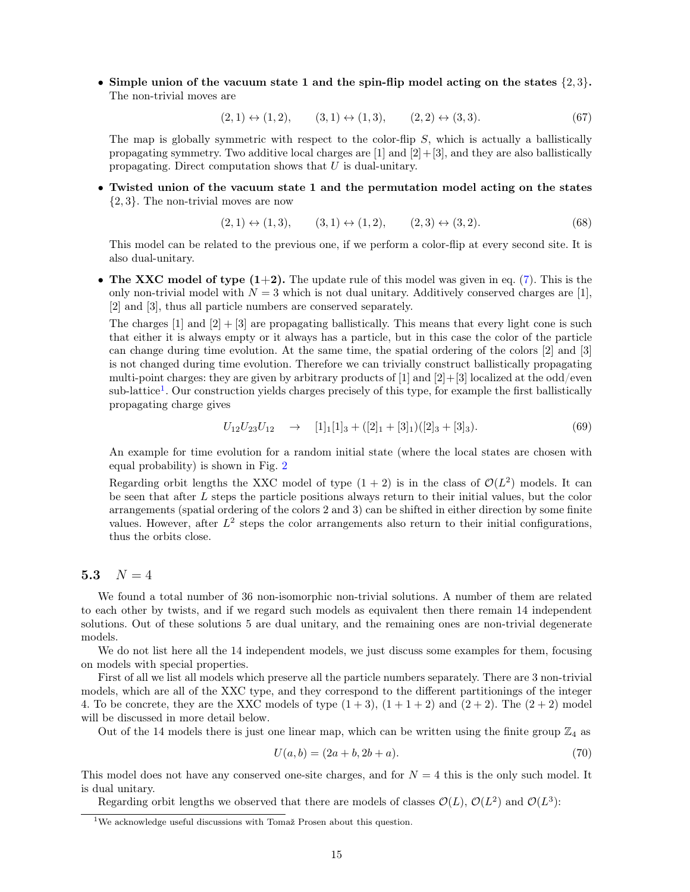• Simple union of the vacuum state 1 and the spin-flip model acting on the states  $\{2, 3\}$ . The non-trivial moves are

$$
(2,1) \leftrightarrow (1,2), \qquad (3,1) \leftrightarrow (1,3), \qquad (2,2) \leftrightarrow (3,3). \tag{67}
$$

The map is globally symmetric with respect to the color-flip  $S$ , which is actually a ballistically propagating symmetry. Two additive local charges are  $[1]$  and  $[2]+[3]$ , and they are also ballistically propagating. Direct computation shows that U is dual-unitary.

• Twisted union of the vacuum state 1 and the permutation model acting on the states {2, 3}. The non-trivial moves are now

$$
(2,1) \leftrightarrow (1,3), \qquad (3,1) \leftrightarrow (1,2), \qquad (2,3) \leftrightarrow (3,2). \tag{68}
$$

This model can be related to the previous one, if we perform a color-flip at every second site. It is also dual-unitary.

• The XXC model of type  $(1+2)$ . The update rule of this model was given in eq. [\(7\)](#page-3-1). This is the only non-trivial model with  $N = 3$  which is not dual unitary. Additively conserved charges are [1], [2] and [3], thus all particle numbers are conserved separately.

The charges  $[1]$  and  $[2] + [3]$  are propagating ballistically. This means that every light cone is such that either it is always empty or it always has a particle, but in this case the color of the particle can change during time evolution. At the same time, the spatial ordering of the colors [2] and [3] is not changed during time evolution. Therefore we can trivially construct ballistically propagating multi-point charges: they are given by arbitrary products of [1] and [2]+[3] localized at the odd/even sub-lattice<sup>[1](#page-14-0)</sup>. Our construction yields charges precisely of this type, for example the first ballistically propagating charge gives

$$
U_{12}U_{23}U_{12} \rightarrow [1]_1[1]_3 + ([2]_1 + [3]_1)([2]_3 + [3]_3). \tag{69}
$$

An example for time evolution for a random initial state (where the local states are chosen with equal probability) is shown in Fig. [2](#page-15-0)

Regarding orbit lengths the XXC model of type  $(1 + 2)$  is in the class of  $\mathcal{O}(L^2)$  models. It can be seen that after L steps the particle positions always return to their initial values, but the color arrangements (spatial ordering of the colors 2 and 3) can be shifted in either direction by some finite values. However, after  $L^2$  steps the color arrangements also return to their initial configurations, thus the orbits close.

### 5.3  $N = 4$

We found a total number of 36 non-isomorphic non-trivial solutions. A number of them are related to each other by twists, and if we regard such models as equivalent then there remain 14 independent solutions. Out of these solutions 5 are dual unitary, and the remaining ones are non-trivial degenerate models.

We do not list here all the 14 independent models, we just discuss some examples for them, focusing on models with special properties.

First of all we list all models which preserve all the particle numbers separately. There are 3 non-trivial models, which are all of the XXC type, and they correspond to the different partitionings of the integer 4. To be concrete, they are the XXC models of type  $(1+3)$ ,  $(1+1+2)$  and  $(2+2)$ . The  $(2+2)$  model will be discussed in more detail below.

Out of the 14 models there is just one linear map, which can be written using the finite group  $\mathbb{Z}_4$  as

$$
U(a,b) = (2a+b, 2b+a). \t(70)
$$

This model does not have any conserved one-site charges, and for  $N = 4$  this is the only such model. It is dual unitary.

Regarding orbit lengths we observed that there are models of classes  $\mathcal{O}(L)$ ,  $\mathcal{O}(L^2)$  and  $\mathcal{O}(L^3)$ :

<span id="page-14-0"></span><sup>1</sup>We acknowledge useful discussions with Tomaž Prosen about this question.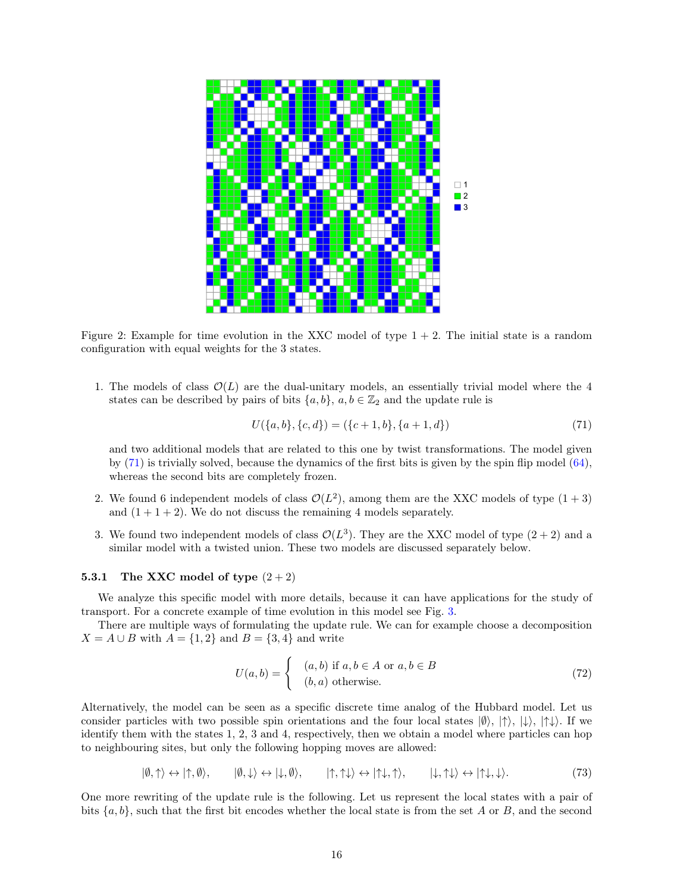<span id="page-15-0"></span>

Figure 2: Example for time evolution in the XXC model of type  $1 + 2$ . The initial state is a random configuration with equal weights for the 3 states.

1. The models of class  $\mathcal{O}(L)$  are the dual-unitary models, an essentially trivial model where the 4 states can be described by pairs of bits  $\{a, b\}$ ,  $a, b \in \mathbb{Z}_2$  and the update rule is

<span id="page-15-1"></span>
$$
U({a,b},\{c,d\}) = ({c+1,b},\{a+1,d\})
$$
\n<sup>(71)</sup>

and two additional models that are related to this one by twist transformations. The model given by [\(71\)](#page-15-1) is trivially solved, because the dynamics of the first bits is given by the spin flip model [\(64\)](#page-13-0), whereas the second bits are completely frozen.

- 2. We found 6 independent models of class  $\mathcal{O}(L^2)$ , among them are the XXC models of type  $(1+3)$ and  $(1 + 1 + 2)$ . We do not discuss the remaining 4 models separately.
- 3. We found two independent models of class  $\mathcal{O}(L^3)$ . They are the XXC model of type  $(2+2)$  and a similar model with a twisted union. These two models are discussed separately below.

#### <span id="page-15-2"></span>5.3.1 The XXC model of type  $(2 + 2)$

We analyze this specific model with more details, because it can have applications for the study of transport. For a concrete example of time evolution in this model see Fig. [3.](#page-16-1)

There are multiple ways of formulating the update rule. We can for example choose a decomposition  $X = A \cup B$  with  $A = \{1, 2\}$  and  $B = \{3, 4\}$  and write

$$
U(a,b) = \begin{cases} (a,b) \text{ if } a,b \in A \text{ or } a,b \in B \\ (b,a) \text{ otherwise.} \end{cases}
$$
 (72)

Alternatively, the model can be seen as a specific discrete time analog of the Hubbard model. Let us consider particles with two possible spin orientations and the four local states  $|\emptyset\rangle$ ,  $|\uparrow\rangle$ ,  $|\downarrow\rangle$ ,  $|\uparrow\downarrow\rangle$ . If we identify them with the states 1, 2, 3 and 4, respectively, then we obtain a model where particles can hop to neighbouring sites, but only the following hopping moves are allowed:

 $|\emptyset,\uparrow\rangle\leftrightarrow|\uparrow,\emptyset\rangle, \qquad |\emptyset,\downarrow\rangle\leftrightarrow|\downarrow,\emptyset\rangle, \qquad |\uparrow,\uparrow\downarrow\rangle\leftrightarrow|\uparrow\downarrow,\uparrow\rangle, \qquad |\downarrow,\uparrow\downarrow\rangle\leftrightarrow|\uparrow\downarrow,\downarrow\rangle. \eqno(73)$ 

One more rewriting of the update rule is the following. Let us represent the local states with a pair of bits  $\{a, b\}$ , such that the first bit encodes whether the local state is from the set A or B, and the second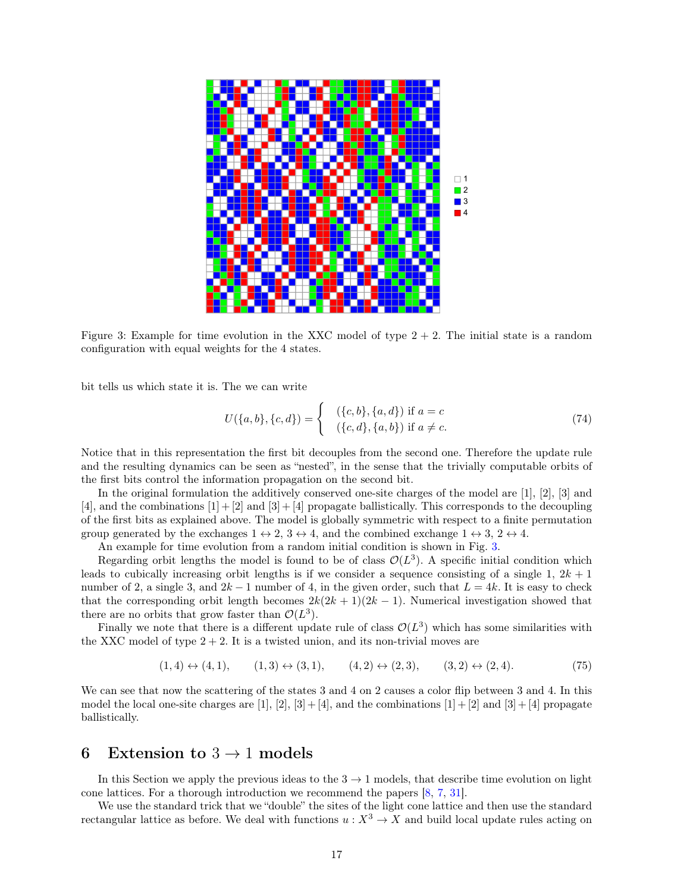<span id="page-16-1"></span>

Figure 3: Example for time evolution in the XXC model of type  $2 + 2$ . The initial state is a random configuration with equal weights for the 4 states.

bit tells us which state it is. The we can write

$$
U(\{a,b\},\{c,d\}) = \begin{cases} & (\{c,b\},\{a,d\}) \text{ if } a=c\\ & (\{c,d\},\{a,b\}) \text{ if } a \neq c. \end{cases}
$$
 (74)

Notice that in this representation the first bit decouples from the second one. Therefore the update rule and the resulting dynamics can be seen as "nested", in the sense that the trivially computable orbits of the first bits control the information propagation on the second bit.

In the original formulation the additively conserved one-site charges of the model are [1], [2], [3] and  $[4]$ , and the combinations  $[1] + [2]$  and  $[3] + [4]$  propagate ballistically. This corresponds to the decoupling of the first bits as explained above. The model is globally symmetric with respect to a finite permutation group generated by the exchanges  $1 \leftrightarrow 2$ ,  $3 \leftrightarrow 4$ , and the combined exchange  $1 \leftrightarrow 3$ ,  $2 \leftrightarrow 4$ .

An example for time evolution from a random initial condition is shown in Fig. [3.](#page-16-1)

Regarding orbit lengths the model is found to be of class  $\mathcal{O}(L^3)$ . A specific initial condition which leads to cubically increasing orbit lengths is if we consider a sequence consisting of a single 1,  $2k + 1$ number of 2, a single 3, and  $2k-1$  number of 4, in the given order, such that  $L = 4k$ . It is easy to check that the corresponding orbit length becomes  $2k(2k+1)(2k-1)$ . Numerical investigation showed that there are no orbits that grow faster than  $\mathcal{O}(L^3)$ .

Finally we note that there is a different update rule of class  $\mathcal{O}(L^3)$  which has some similarities with the XXC model of type  $2 + 2$ . It is a twisted union, and its non-trivial moves are

$$
(1,4) \leftrightarrow (4,1), \qquad (1,3) \leftrightarrow (3,1), \qquad (4,2) \leftrightarrow (2,3), \qquad (3,2) \leftrightarrow (2,4). \tag{75}
$$

We can see that now the scattering of the states 3 and 4 on 2 causes a color flip between 3 and 4. In this model the local one-site charges are [1], [2], [3] + [4], and the combinations [1] + [2] and [3] + [4] propagate ballistically.

### <span id="page-16-0"></span>6 Extension to  $3 \rightarrow 1$  models

In this Section we apply the previous ideas to the  $3 \rightarrow 1$  models, that describe time evolution on light cone lattices. For a thorough introduction we recommend the papers  $[8, 7, 31]$  $[8, 7, 31]$  $[8, 7, 31]$  $[8, 7, 31]$  $[8, 7, 31]$ .

We use the standard trick that we "double" the sites of the light cone lattice and then use the standard rectangular lattice as before. We deal with functions  $u : X^3 \to X$  and build local update rules acting on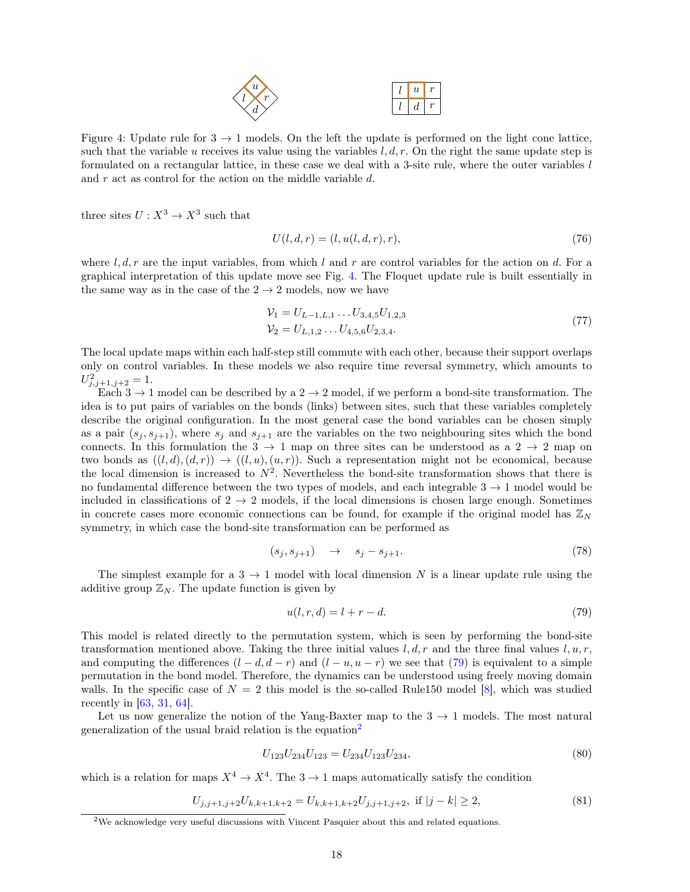

<span id="page-17-0"></span>Figure 4: Update rule for  $3 \rightarrow 1$  models. On the left the update is performed on the light cone lattice, such that the variable u receives its value using the variables  $l, d, r$ . On the right the same update step is formulated on a rectangular lattice, in these case we deal with a 3-site rule, where the outer variables l and r act as control for the action on the middle variable d.

three sites  $U: X^3 \to X^3$  such that

$$
U(l, d, r) = (l, u(l, d, r), r), \tag{76}
$$

where l, d, r are the input variables, from which l and r are control variables for the action on d. For a graphical interpretation of this update move see Fig. [4.](#page-17-0) The Floquet update rule is built essentially in the same way as in the case of the  $2 \rightarrow 2$  models, now we have

$$
\mathcal{V}_1 = U_{L-1,L,1} \dots U_{3,4,5} U_{1,2,3}
$$
  
\n
$$
\mathcal{V}_2 = U_{L,1,2} \dots U_{4,5,6} U_{2,3,4}.
$$
\n(77)

The local update maps within each half-step still commute with each other, because their support overlaps only on control variables. In these models we also require time reversal symmetry, which amounts to  $U^2_{j,j+1,j+2} = 1.$ 

Each  $3 \rightarrow 1$  model can be described by a  $2 \rightarrow 2$  model, if we perform a bond-site transformation. The idea is to put pairs of variables on the bonds (links) between sites, such that these variables completely describe the original configuration. In the most general case the bond variables can be chosen simply as a pair  $(s_j, s_{j+1})$ , where  $s_j$  and  $s_{j+1}$  are the variables on the two neighbouring sites which the bond connects. In this formulation the  $3 \rightarrow 1$  map on three sites can be understood as a  $2 \rightarrow 2$  map on two bonds as  $((l, d), (d, r)) \rightarrow ((l, u), (u, r))$ . Such a representation might not be economical, because the local dimension is increased to  $N^2$ . Nevertheless the bond-site transformation shows that there is no fundamental difference between the two types of models, and each integrable  $3 \rightarrow 1$  model would be included in classifications of  $2 \rightarrow 2$  models, if the local dimensions is chosen large enough. Sometimes in concrete cases more economic connections can be found, for example if the original model has  $\mathbb{Z}_N$ symmetry, in which case the bond-site transformation can be performed as

$$
(s_j, s_{j+1}) \quad \rightarrow \quad s_j - s_{j+1}.\tag{78}
$$

The simplest example for a 3  $\rightarrow$  1 model with local dimension N is a linear update rule using the additive group  $\mathbb{Z}_N$ . The update function is given by

<span id="page-17-1"></span>
$$
u(l, r, d) = l + r - d.\tag{79}
$$

This model is related directly to the permutation system, which is seen by performing the bond-site transformation mentioned above. Taking the three initial values l, d, r and the three final values l,  $u, r$ , and computing the differences  $(l - d, d - r)$  and  $(l - u, u - r)$  we see that [\(79\)](#page-17-1) is equivalent to a simple permutation in the bond model. Therefore, the dynamics can be understood using freely moving domain walls. In the specific case of  $N = 2$  this model is the so-called Rule150 model [\[8\]](#page-22-2), which was studied recently in [\[63,](#page-25-1) [31,](#page-23-7) [64\]](#page-25-2).

Let us now generalize the notion of the Yang-Baxter map to the  $3 \rightarrow 1$  models. The most natural generalization of the usual braid relation is the equation[2](#page-17-2)

<span id="page-17-3"></span>
$$
U_{123}U_{234}U_{123} = U_{234}U_{123}U_{234},\tag{80}
$$

which is a relation for maps  $X^4 \to X^4$ . The  $3 \to 1$  maps automatically satisfy the condition

$$
U_{j,j+1,j+2}U_{k,k+1,k+2} = U_{k,k+1,k+2}U_{j,j+1,j+2}, \text{ if } |j-k| \ge 2,
$$
\n(81)

<span id="page-17-2"></span><sup>2</sup>We acknowledge very useful discussions with Vincent Pasquier about this and related equations.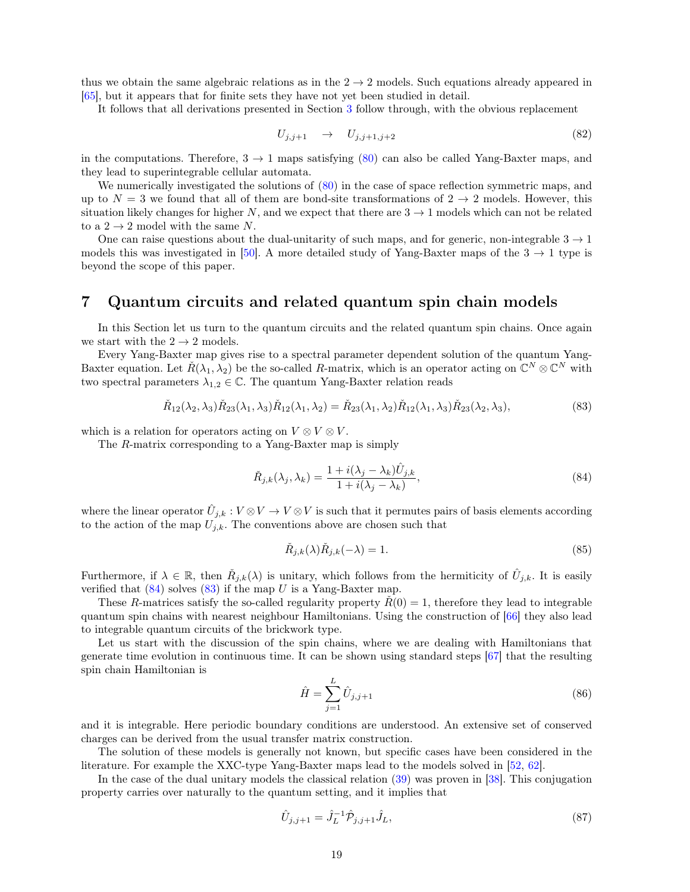thus we obtain the same algebraic relations as in the  $2 \rightarrow 2$  models. Such equations already appeared in [\[65\]](#page-25-3), but it appears that for finite sets they have not yet been studied in detail.

It follows that all derivations presented in Section [3](#page-5-0) follow through, with the obvious replacement

$$
U_{j,j+1} \quad \rightarrow \quad U_{j,j+1,j+2} \tag{82}
$$

in the computations. Therefore,  $3 \rightarrow 1$  maps satisfying [\(80\)](#page-17-3) can also be called Yang-Baxter maps, and they lead to superintegrable cellular automata.

We numerically investigated the solutions of  $(80)$  in the case of space reflection symmetric maps, and up to  $N = 3$  we found that all of them are bond-site transformations of  $2 \rightarrow 2$  models. However, this situation likely changes for higher N, and we expect that there are  $3 \to 1$  models which can not be related to a  $2 \rightarrow 2$  model with the same N.

One can raise questions about the dual-unitarity of such maps, and for generic, non-integrable  $3 \rightarrow 1$ models this was investigated in [\[50\]](#page-24-8). A more detailed study of Yang-Baxter maps of the  $3 \rightarrow 1$  type is beyond the scope of this paper.

### <span id="page-18-0"></span>7 Quantum circuits and related quantum spin chain models

In this Section let us turn to the quantum circuits and the related quantum spin chains. Once again we start with the  $2 \rightarrow 2$  models.

Every Yang-Baxter map gives rise to a spectral parameter dependent solution of the quantum Yang-Baxter equation. Let  $\check{R}(\lambda_1, \lambda_2)$  be the so-called R-matrix, which is an operator acting on  $\mathbb{C}^N \otimes \mathbb{C}^N$  with two spectral parameters  $\lambda_{1,2} \in \mathbb{C}$ . The quantum Yang-Baxter relation reads

<span id="page-18-2"></span>
$$
\check{R}_{12}(\lambda_2, \lambda_3) \check{R}_{23}(\lambda_1, \lambda_3) \check{R}_{12}(\lambda_1, \lambda_2) = \check{R}_{23}(\lambda_1, \lambda_2) \check{R}_{12}(\lambda_1, \lambda_3) \check{R}_{23}(\lambda_2, \lambda_3),
$$
\n(83)

which is a relation for operators acting on  $V \otimes V \otimes V$ .

The R-matrix corresponding to a Yang-Baxter map is simply

<span id="page-18-1"></span>
$$
\check{R}_{j,k}(\lambda_j, \lambda_k) = \frac{1 + i(\lambda_j - \lambda_k)\hat{U}_{j,k}}{1 + i(\lambda_j - \lambda_k)},
$$
\n(84)

where the linear operator  $\hat{U}_{j,k}: V \otimes V \to V \otimes V$  is such that it permutes pairs of basis elements according to the action of the map  $U_{j,k}$ . The conventions above are chosen such that

$$
\check{R}_{j,k}(\lambda)\check{R}_{j,k}(-\lambda) = 1.
$$
\n(85)

Furthermore, if  $\lambda \in \mathbb{R}$ , then  $\check{R}_{j,k}(\lambda)$  is unitary, which follows from the hermiticity of  $\hat{U}_{j,k}$ . It is easily verified that  $(84)$  solves  $(83)$  if the map U is a Yang-Baxter map.

These R-matrices satisfy the so-called regularity property  $R(0) = 1$ , therefore they lead to integrable quantum spin chains with nearest neighbour Hamiltonians. Using the construction of [\[66\]](#page-25-4) they also lead to integrable quantum circuits of the brickwork type.

Let us start with the discussion of the spin chains, where we are dealing with Hamiltonians that generate time evolution in continuous time. It can be shown using standard steps [\[67\]](#page-25-5) that the resulting spin chain Hamiltonian is

<span id="page-18-3"></span>
$$
\hat{H} = \sum_{j=1}^{L} \hat{U}_{j,j+1}
$$
\n(86)

and it is integrable. Here periodic boundary conditions are understood. An extensive set of conserved charges can be derived from the usual transfer matrix construction.

The solution of these models is generally not known, but specific cases have been considered in the literature. For example the XXC-type Yang-Baxter maps lead to the models solved in [\[52,](#page-24-10) [62\]](#page-25-0).

In the case of the dual unitary models the classical relation [\(39\)](#page-8-2) was proven in [\[38\]](#page-23-14). This conjugation property carries over naturally to the quantum setting, and it implies that

$$
\hat{U}_{j,j+1} = \hat{J}_L^{-1} \hat{\mathcal{P}}_{j,j+1} \hat{J}_L,\tag{87}
$$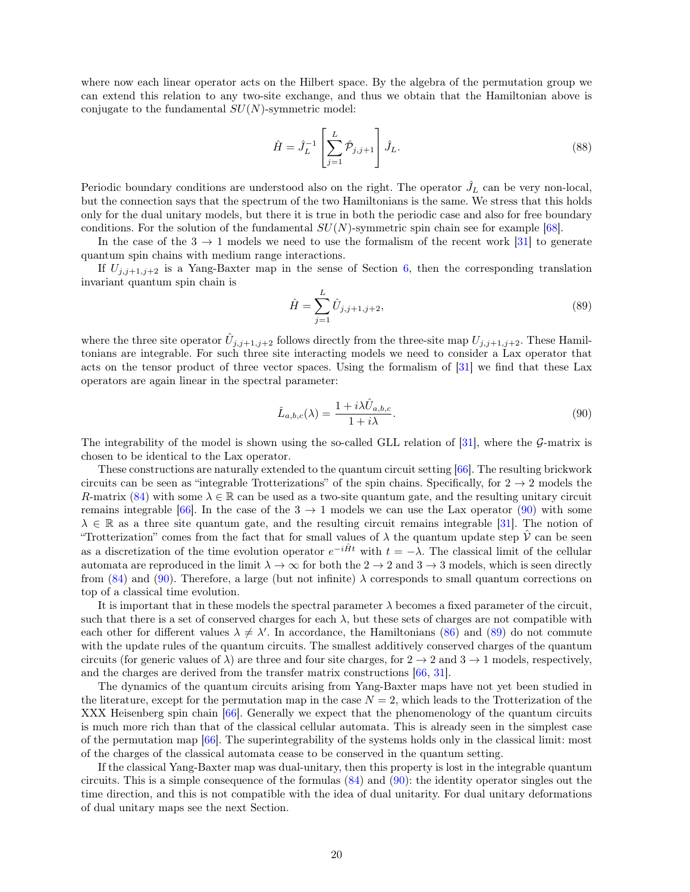where now each linear operator acts on the Hilbert space. By the algebra of the permutation group we can extend this relation to any two-site exchange, and thus we obtain that the Hamiltonian above is conjugate to the fundamental  $SU(N)$ -symmetric model:

$$
\hat{H} = \hat{J}_L^{-1} \left[ \sum_{j=1}^L \hat{\mathcal{P}}_{j,j+1} \right] \hat{J}_L.
$$
\n(88)

Periodic boundary conditions are understood also on the right. The operator  $J_L$  can be very non-local, but the connection says that the spectrum of the two Hamiltonians is the same. We stress that this holds only for the dual unitary models, but there it is true in both the periodic case and also for free boundary conditions. For the solution of the fundamental  $SU(N)$ -symmetric spin chain see for example [\[68\]](#page-25-6).

In the case of the  $3 \rightarrow 1$  models we need to use the formalism of the recent work [\[31\]](#page-23-7) to generate quantum spin chains with medium range interactions.

If  $U_{j,j+1,j+2}$  is a Yang-Baxter map in the sense of Section [6,](#page-16-0) then the corresponding translation invariant quantum spin chain is

<span id="page-19-1"></span>
$$
\hat{H} = \sum_{j=1}^{L} \hat{U}_{j,j+1,j+2},
$$
\n(89)

where the three site operator  $\hat{U}_{j,j+1,j+2}$  follows directly from the three-site map  $U_{j,j+1,j+2}$ . These Hamiltonians are integrable. For such three site interacting models we need to consider a Lax operator that acts on the tensor product of three vector spaces. Using the formalism of [\[31\]](#page-23-7) we find that these Lax operators are again linear in the spectral parameter:

<span id="page-19-0"></span>
$$
\check{L}_{a,b,c}(\lambda) = \frac{1 + i\lambda \hat{U}_{a,b,c}}{1 + i\lambda}.
$$
\n(90)

The integrability of the model is shown using the so-called GLL relation of  $[31]$ , where the G-matrix is chosen to be identical to the Lax operator.

These constructions are naturally extended to the quantum circuit setting [\[66\]](#page-25-4). The resulting brickwork circuits can be seen as "integrable Trotterizations" of the spin chains. Specifically, for  $2 \rightarrow 2$  models the R-matrix [\(84\)](#page-18-1) with some  $\lambda \in \mathbb{R}$  can be used as a two-site quantum gate, and the resulting unitary circuit remains integrable [\[66\]](#page-25-4). In the case of the  $3 \rightarrow 1$  models we can use the Lax operator [\(90\)](#page-19-0) with some  $\lambda \in \mathbb{R}$  as a three site quantum gate, and the resulting circuit remains integrable [\[31\]](#page-23-7). The notion of "Trotterization" comes from the fact that for small values of  $\lambda$  the quantum update step  $\dot{V}$  can be seen as a discretization of the time evolution operator  $e^{-i\hat{H}t}$  with  $t = -\lambda$ . The classical limit of the cellular automata are reproduced in the limit  $\lambda \to \infty$  for both the  $2 \to 2$  and  $3 \to 3$  models, which is seen directly from [\(84\)](#page-18-1) and [\(90\)](#page-19-0). Therefore, a large (but not infinite)  $\lambda$  corresponds to small quantum corrections on top of a classical time evolution.

It is important that in these models the spectral parameter  $\lambda$  becomes a fixed parameter of the circuit, such that there is a set of conserved charges for each  $\lambda$ , but these sets of charges are not compatible with each other for different values  $\lambda \neq \lambda'$ . In accordance, the Hamiltonians [\(86\)](#page-18-3) and [\(89\)](#page-19-1) do not commute with the update rules of the quantum circuits. The smallest additively conserved charges of the quantum circuits (for generic values of  $\lambda$ ) are three and four site charges, for  $2 \to 2$  and  $3 \to 1$  models, respectively, and the charges are derived from the transfer matrix constructions [\[66,](#page-25-4) [31\]](#page-23-7).

The dynamics of the quantum circuits arising from Yang-Baxter maps have not yet been studied in the literature, except for the permutation map in the case  $N = 2$ , which leads to the Trotterization of the XXX Heisenberg spin chain [\[66\]](#page-25-4). Generally we expect that the phenomenology of the quantum circuits is much more rich than that of the classical cellular automata. This is already seen in the simplest case of the permutation map [\[66\]](#page-25-4). The superintegrability of the systems holds only in the classical limit: most of the charges of the classical automata cease to be conserved in the quantum setting.

If the classical Yang-Baxter map was dual-unitary, then this property is lost in the integrable quantum circuits. This is a simple consequence of the formulas  $(84)$  and  $(90)$ : the identity operator singles out the time direction, and this is not compatible with the idea of dual unitarity. For dual unitary deformations of dual unitary maps see the next Section.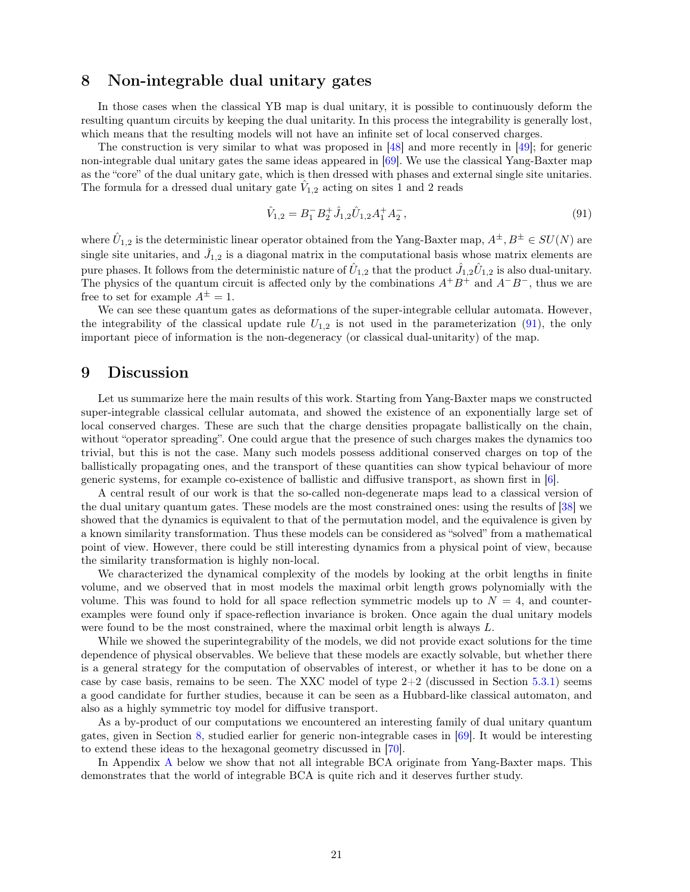### <span id="page-20-0"></span>8 Non-integrable dual unitary gates

In those cases when the classical YB map is dual unitary, it is possible to continuously deform the resulting quantum circuits by keeping the dual unitarity. In this process the integrability is generally lost, which means that the resulting models will not have an infinite set of local conserved charges.

The construction is very similar to what was proposed in [\[48\]](#page-24-6) and more recently in [\[49\]](#page-24-7); for generic non-integrable dual unitary gates the same ideas appeared in [\[69\]](#page-25-7). We use the classical Yang-Baxter map as the "core" of the dual unitary gate, which is then dressed with phases and external single site unitaries. The formula for a dressed dual unitary gate  $\hat{V}_{1,2}$  acting on sites 1 and 2 reads

<span id="page-20-2"></span>
$$
\hat{V}_{1,2} = B_1^- B_2^+ \hat{J}_{1,2} \hat{U}_{1,2} A_1^+ A_2^-, \tag{91}
$$

where  $\hat{U}_{1,2}$  is the deterministic linear operator obtained from the Yang-Baxter map,  $A^{\pm}, B^{\pm} \in SU(N)$  are single site unitaries, and  $\hat{J}_{1,2}$  is a diagonal matrix in the computational basis whose matrix elements are pure phases. It follows from the deterministic nature of  $\hat{U}_{1,2}$  that the product  $\hat{J}_{1,2}\hat{U}_{1,2}$  is also dual-unitary. The physics of the quantum circuit is affected only by the combinations  $A^{+}B^{+}$  and  $A^{-}B^{-}$ , thus we are free to set for example  $A^{\pm} = 1$ .

We can see these quantum gates as deformations of the super-integrable cellular automata. However, the integrability of the classical update rule  $U_{1,2}$  is not used in the parameterization [\(91\)](#page-20-2), the only important piece of information is the non-degeneracy (or classical dual-unitarity) of the map.

### <span id="page-20-1"></span>9 Discussion

Let us summarize here the main results of this work. Starting from Yang-Baxter maps we constructed super-integrable classical cellular automata, and showed the existence of an exponentially large set of local conserved charges. These are such that the charge densities propagate ballistically on the chain, without "operator spreading". One could argue that the presence of such charges makes the dynamics too trivial, but this is not the case. Many such models possess additional conserved charges on top of the ballistically propagating ones, and the transport of these quantities can show typical behaviour of more generic systems, for example co-existence of ballistic and diffusive transport, as shown first in [\[6\]](#page-22-0).

A central result of our work is that the so-called non-degenerate maps lead to a classical version of the dual unitary quantum gates. These models are the most constrained ones: using the results of [\[38\]](#page-23-14) we showed that the dynamics is equivalent to that of the permutation model, and the equivalence is given by a known similarity transformation. Thus these models can be considered as "solved" from a mathematical point of view. However, there could be still interesting dynamics from a physical point of view, because the similarity transformation is highly non-local.

We characterized the dynamical complexity of the models by looking at the orbit lengths in finite volume, and we observed that in most models the maximal orbit length grows polynomially with the volume. This was found to hold for all space reflection symmetric models up to  $N = 4$ , and counterexamples were found only if space-reflection invariance is broken. Once again the dual unitary models were found to be the most constrained, where the maximal orbit length is always L.

While we showed the superintegrability of the models, we did not provide exact solutions for the time dependence of physical observables. We believe that these models are exactly solvable, but whether there is a general strategy for the computation of observables of interest, or whether it has to be done on a case by case basis, remains to be seen. The XXC model of type  $2+2$  (discussed in Section [5.3.1\)](#page-15-2) seems a good candidate for further studies, because it can be seen as a Hubbard-like classical automaton, and also as a highly symmetric toy model for diffusive transport.

As a by-product of our computations we encountered an interesting family of dual unitary quantum gates, given in Section [8,](#page-20-0) studied earlier for generic non-integrable cases in [\[69\]](#page-25-7). It would be interesting to extend these ideas to the hexagonal geometry discussed in [\[70\]](#page-25-8).

In Appendix [A](#page-21-5) below we show that not all integrable BCA originate from Yang-Baxter maps. This demonstrates that the world of integrable BCA is quite rich and it deserves further study.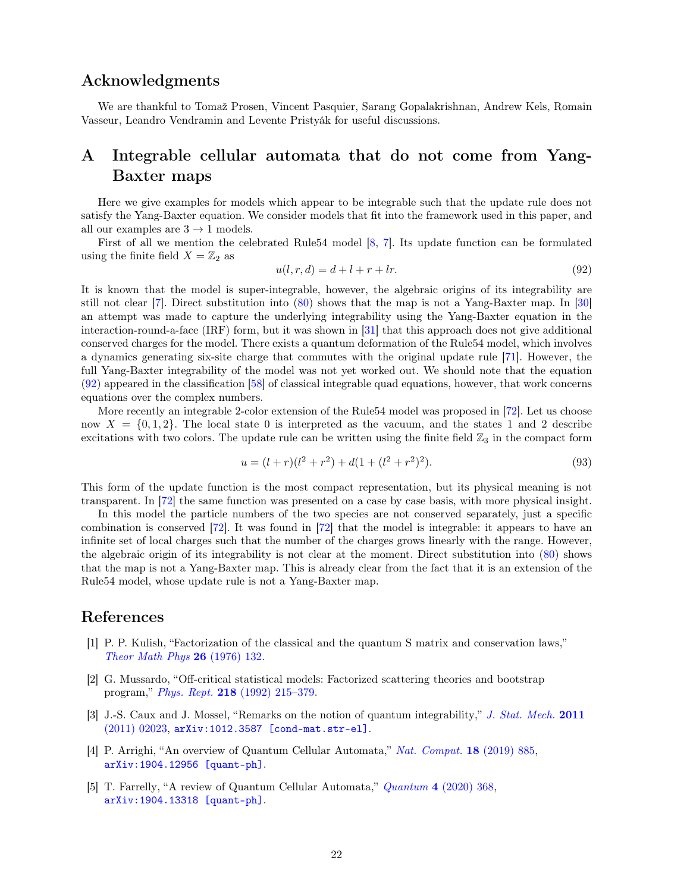### Acknowledgments

We are thankful to Tomaž Prosen, Vincent Pasquier, Sarang Gopalakrishnan, Andrew Kels, Romain Vasseur, Leandro Vendramin and Levente Pristyák for useful discussions.

## <span id="page-21-5"></span>A Integrable cellular automata that do not come from Yang-Baxter maps

Here we give examples for models which appear to be integrable such that the update rule does not satisfy the Yang-Baxter equation. We consider models that fit into the framework used in this paper, and all our examples are  $3 \rightarrow 1$  models.

First of all we mention the celebrated Rule54 model [\[8,](#page-22-2) [7\]](#page-22-1). Its update function can be formulated using the finite field  $X = \mathbb{Z}_2$  as

<span id="page-21-6"></span>
$$
u(l, r, d) = d + l + r + lr.\tag{92}
$$

It is known that the model is super-integrable, however, the algebraic origins of its integrability are still not clear [\[7\]](#page-22-1). Direct substitution into [\(80\)](#page-17-3) shows that the map is not a Yang-Baxter map. In [\[30\]](#page-23-6) an attempt was made to capture the underlying integrability using the Yang-Baxter equation in the interaction-round-a-face (IRF) form, but it was shown in [\[31\]](#page-23-7) that this approach does not give additional conserved charges for the model. There exists a quantum deformation of the Rule54 model, which involves a dynamics generating six-site charge that commutes with the original update rule [\[71\]](#page-25-9). However, the full Yang-Baxter integrability of the model was not yet worked out. We should note that the equation [\(92\)](#page-21-6) appeared in the classification [\[58\]](#page-24-16) of classical integrable quad equations, however, that work concerns equations over the complex numbers.

More recently an integrable 2-color extension of the Rule54 model was proposed in [\[72\]](#page-25-10). Let us choose now  $X = \{0, 1, 2\}$ . The local state 0 is interpreted as the vacuum, and the states 1 and 2 describe excitations with two colors. The update rule can be written using the finite field  $\mathbb{Z}_3$  in the compact form

$$
u = (l+r)(l^2+r^2) + d(1+(l^2+r^2)^2).
$$
\n(93)

This form of the update function is the most compact representation, but its physical meaning is not transparent. In [\[72\]](#page-25-10) the same function was presented on a case by case basis, with more physical insight.

In this model the particle numbers of the two species are not conserved separately, just a specific combination is conserved [\[72\]](#page-25-10). It was found in [\[72\]](#page-25-10) that the model is integrable: it appears to have an infinite set of local charges such that the number of the charges grows linearly with the range. However, the algebraic origin of its integrability is not clear at the moment. Direct substitution into [\(80\)](#page-17-3) shows that the map is not a Yang-Baxter map. This is already clear from the fact that it is an extension of the Rule54 model, whose update rule is not a Yang-Baxter map.

### References

- <span id="page-21-0"></span>[1] P. P. Kulish, "Factorization of the classical and the quantum S matrix and conservation laws," [Theor Math Phys](http://dx.doi.org/10.1007/BF01079418) 26 (1976) 132.
- <span id="page-21-1"></span>[2] G. Mussardo, "Off-critical statistical models: Factorized scattering theories and bootstrap program," Phys. Rept. 218 [\(1992\) 215–379.](http://dx.doi.org/10.1016/0370-1573(92)90047-4)
- <span id="page-21-2"></span>[3] J.-S. Caux and J. Mossel, "Remarks on the notion of quantum integrability," [J. Stat. Mech.](http://dx.doi.org/10.1088/1742-5468/2011/02/P02023) 2011 [\(2011\) 02023,](http://dx.doi.org/10.1088/1742-5468/2011/02/P02023) [arXiv:1012.3587 \[cond-mat.str-el\]](http://arxiv.org/abs/1012.3587).
- <span id="page-21-3"></span>[4] P. Arrighi, "An overview of Quantum Cellular Automata," [Nat. Comput.](http://dx.doi.org/10.1007/s11047-019-09762-6) 18 (2019) 885, [arXiv:1904.12956 \[quant-ph\]](http://arxiv.org/abs/1904.12956).
- <span id="page-21-4"></span>[5] T. Farrelly, "A review of Quantum Cellular Automata," Quantum 4 [\(2020\) 368,](http://dx.doi.org/10.22331/q-2020-11-30-368) [arXiv:1904.13318 \[quant-ph\]](http://arxiv.org/abs/1904.13318).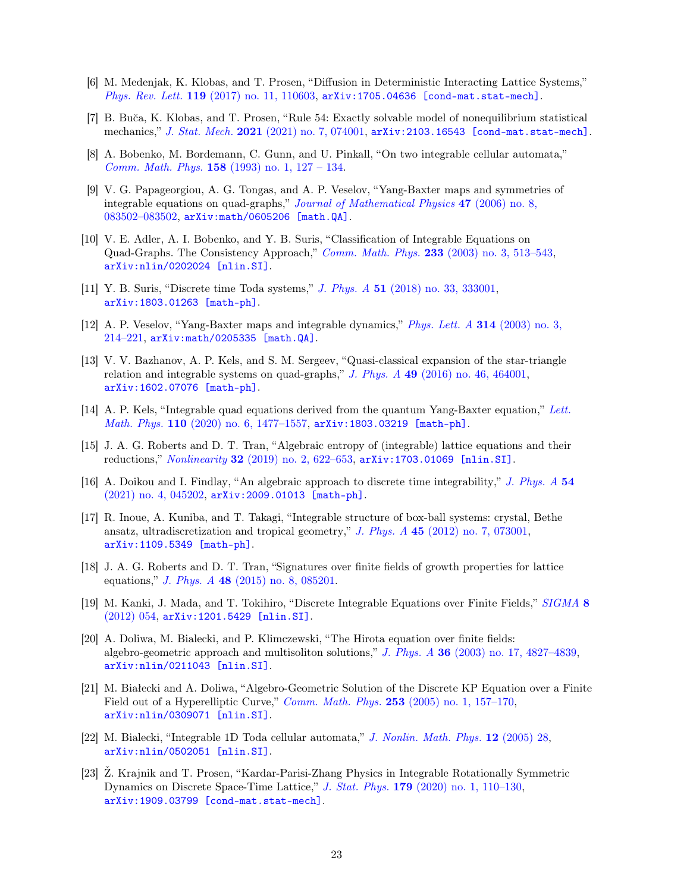- <span id="page-22-0"></span>[6] M. Medenjak, K. Klobas, and T. Prosen, "Diffusion in Deterministic Interacting Lattice Systems," Phys. Rev. Lett. 119 [\(2017\) no. 11, 110603,](http://dx.doi.org/10.1103/PhysRevLett.119.110603) [arXiv:1705.04636 \[cond-mat.stat-mech\]](http://arxiv.org/abs/1705.04636).
- <span id="page-22-1"></span>[7] B. Buča, K. Klobas, and T. Prosen, "Rule 54: Exactly solvable model of nonequilibrium statistical mechanics," J. Stat. Mech. 2021 [\(2021\) no. 7, 074001,](http://dx.doi.org/10.1088/1742-5468/ac096b) [arXiv:2103.16543 \[cond-mat.stat-mech\]](http://arxiv.org/abs/2103.16543).
- <span id="page-22-2"></span>[8] A. Bobenko, M. Bordemann, C. Gunn, and U. Pinkall, "On two integrable cellular automata," Comm. Math. Phys. 158 [\(1993\) no. 1, 127 – 134.](http://dx.doi.org/10.1007/BF02097234)
- <span id="page-22-3"></span>[9] V. G. Papageorgiou, A. G. Tongas, and A. P. Veselov, "Yang-Baxter maps and symmetries of integrable equations on quad-graphs," [Journal of Mathematical Physics](http://dx.doi.org/10.1063/1.2227641) 47 (2006) no. 8, [083502–083502,](http://dx.doi.org/10.1063/1.2227641) [arXiv:math/0605206 \[math.QA\]](http://arxiv.org/abs/math/0605206).
- <span id="page-22-4"></span>[10] V. E. Adler, A. I. Bobenko, and Y. B. Suris, "Classification of Integrable Equations on Quad-Graphs. The Consistency Approach," Comm. Math. Phys. 233 [\(2003\) no. 3, 513–543,](http://dx.doi.org/10.1007/s00220-002-0762-8) [arXiv:nlin/0202024 \[nlin.SI\]](http://arxiv.org/abs/nlin/0202024).
- <span id="page-22-5"></span>[11] Y. B. Suris, "Discrete time Toda systems," J. Phys. A 51 [\(2018\) no. 33, 333001,](http://dx.doi.org/10.1088/1751-8121/aacbdc) [arXiv:1803.01263 \[math-ph\]](http://arxiv.org/abs/1803.01263).
- <span id="page-22-6"></span>[12] A. P. Veselov, "Yang-Baxter maps and integrable dynamics," [Phys. Lett. A](http://dx.doi.org/10.1016/S0375-9601(03)00915-0) 314 (2003) no. 3, [214–221,](http://dx.doi.org/10.1016/S0375-9601(03)00915-0) [arXiv:math/0205335 \[math.QA\]](http://arxiv.org/abs/math/0205335).
- <span id="page-22-7"></span>[13] V. V. Bazhanov, A. P. Kels, and S. M. Sergeev, "Quasi-classical expansion of the star-triangle relation and integrable systems on quad-graphs," J. Phys. A 49 [\(2016\) no. 46, 464001,](http://dx.doi.org/10.1088/1751-8113/49/46/464001) [arXiv:1602.07076 \[math-ph\]](http://arxiv.org/abs/1602.07076).
- <span id="page-22-8"></span>[14] A. P. Kels, "Integrable quad equations derived from the quantum Yang-Baxter equation," [Lett.](http://dx.doi.org/10.1007/s11005-020-01255-3) Math. Phys. 110 [\(2020\) no. 6, 1477–1557,](http://dx.doi.org/10.1007/s11005-020-01255-3) [arXiv:1803.03219 \[math-ph\]](http://arxiv.org/abs/1803.03219).
- <span id="page-22-9"></span>[15] J. A. G. Roberts and D. T. Tran, "Algebraic entropy of (integrable) lattice equations and their reductions," Nonlinearity 32 [\(2019\) no. 2, 622–653,](http://dx.doi.org/10.1088/1361-6544/aaecda) [arXiv:1703.01069 \[nlin.SI\]](http://arxiv.org/abs/1703.01069).
- <span id="page-22-10"></span>[16] A. Doikou and I. Findlay, "An algebraic approach to discrete time integrability," [J. Phys. A](http://dx.doi.org/10.1088/1751-8121/abd3d6) 54 [\(2021\) no. 4, 045202,](http://dx.doi.org/10.1088/1751-8121/abd3d6) [arXiv:2009.01013 \[math-ph\]](http://arxiv.org/abs/2009.01013).
- <span id="page-22-11"></span>[17] R. Inoue, A. Kuniba, and T. Takagi, "Integrable structure of box-ball systems: crystal, Bethe ansatz, ultradiscretization and tropical geometry," J. Phys. A 45 [\(2012\) no. 7, 073001,](http://dx.doi.org/10.1088/1751-8113/45/7/073001) [arXiv:1109.5349 \[math-ph\]](http://arxiv.org/abs/1109.5349).
- <span id="page-22-12"></span>[18] J. A. G. Roberts and D. T. Tran, "Signatures over finite fields of growth properties for lattice equations," J. Phys. A 48 [\(2015\) no. 8, 085201.](http://dx.doi.org/10.1088/1751-8113/48/8/085201)
- <span id="page-22-13"></span>[19] M. Kanki, J. Mada, and T. Tokihiro, "Discrete Integrable Equations over Finite Fields," [SIGMA](http://dx.doi.org/10.3842/SIGMA.2012.054) 8 [\(2012\) 054,](http://dx.doi.org/10.3842/SIGMA.2012.054) [arXiv:1201.5429 \[nlin.SI\]](http://arxiv.org/abs/1201.5429).
- <span id="page-22-14"></span>[20] A. Doliwa, M. Bialecki, and P. Klimczewski, "The Hirota equation over finite fields: algebro-geometric approach and multisoliton solutions," J. Phys. A 36 [\(2003\) no. 17, 4827–4839,](http://dx.doi.org/10.1088/0305-4470/36/17/309) [arXiv:nlin/0211043 \[nlin.SI\]](http://arxiv.org/abs/nlin/0211043).
- <span id="page-22-15"></span>[21] M. Białecki and A. Doliwa, "Algebro-Geometric Solution of the Discrete KP Equation over a Finite Field out of a Hyperelliptic Curve," Comm. Math. Phys. 253 [\(2005\) no. 1, 157–170,](http://dx.doi.org/10.1007/s00220-004-1207-3) [arXiv:nlin/0309071 \[nlin.SI\]](http://arxiv.org/abs/nlin/0309071).
- <span id="page-22-16"></span>[22] M. Bialecki, "Integrable 1D Toda cellular automata," [J. Nonlin. Math. Phys.](http://dx.doi.org/10.2991/jnmp.2005.12.s2.3) 12 (2005) 28, [arXiv:nlin/0502051 \[nlin.SI\]](http://arxiv.org/abs/nlin/0502051).
- <span id="page-22-17"></span>[23] Ž. Krajnik and T. Prosen, "Kardar-Parisi-Zhang Physics in Integrable Rotationally Symmetric Dynamics on Discrete Space-Time Lattice," J. Stat. Phys. 179 [\(2020\) no. 1, 110–130,](http://dx.doi.org/10.1007/s10955-020-02523-1) [arXiv:1909.03799 \[cond-mat.stat-mech\]](http://arxiv.org/abs/1909.03799).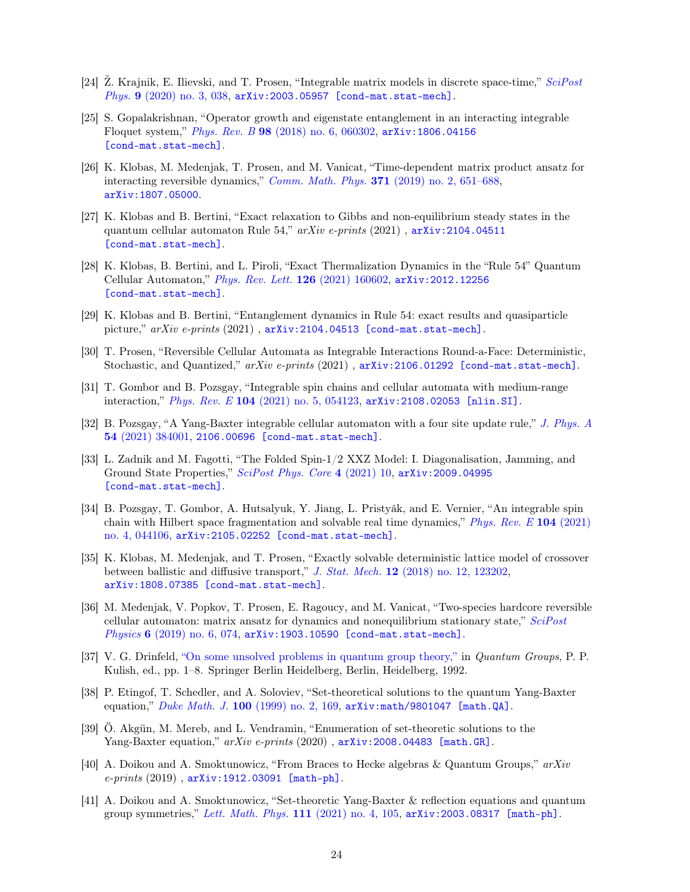- <span id="page-23-0"></span>[24] Ž. Krajnik, E. Ilievski, and T. Prosen, "Integrable matrix models in discrete space-time," [SciPost](http://dx.doi.org/10.21468/SciPostPhys.9.3.038) Phys. 9 [\(2020\) no. 3, 038,](http://dx.doi.org/10.21468/SciPostPhys.9.3.038) [arXiv:2003.05957 \[cond-mat.stat-mech\]](http://arxiv.org/abs/2003.05957).
- <span id="page-23-1"></span>[25] S. Gopalakrishnan, "Operator growth and eigenstate entanglement in an interacting integrable Floquet system," Phys. Rev. B 98 [\(2018\) no. 6, 060302,](http://dx.doi.org/10.1103/PhysRevB.98.060302) [arXiv:1806.04156](http://arxiv.org/abs/1806.04156) [\[cond-mat.stat-mech\]](http://arxiv.org/abs/1806.04156).
- <span id="page-23-2"></span>[26] K. Klobas, M. Medenjak, T. Prosen, and M. Vanicat, "Time-dependent matrix product ansatz for interacting reversible dynamics," Comm. Math. Phys. 371 [\(2019\) no. 2, 651–688,](http://dx.doi.org/10.1007/s00220-019-03494-5) [arXiv:1807.05000](http://arxiv.org/abs/1807.05000).
- <span id="page-23-3"></span>[27] K. Klobas and B. Bertini, "Exact relaxation to Gibbs and non-equilibrium steady states in the quantum cellular automaton Rule 54,"  $arXiv$  e-prints (2021),  $arXiv:2104.04511$ [\[cond-mat.stat-mech\]](http://arxiv.org/abs/2104.04511).
- <span id="page-23-4"></span>[28] K. Klobas, B. Bertini, and L. Piroli, "Exact Thermalization Dynamics in the "Rule 54" Quantum Cellular Automaton," [Phys. Rev. Lett.](http://dx.doi.org/10.1103/PhysRevLett.126.160602) 126 (2021) 160602, [arXiv:2012.12256](http://arxiv.org/abs/2012.12256) [\[cond-mat.stat-mech\]](http://arxiv.org/abs/2012.12256).
- <span id="page-23-5"></span>[29] K. Klobas and B. Bertini, "Entanglement dynamics in Rule 54: exact results and quasiparticle picture," arXiv e-prints (2021), [arXiv:2104.04513 \[cond-mat.stat-mech\]](http://arxiv.org/abs/2104.04513).
- <span id="page-23-6"></span>[30] T. Prosen, "Reversible Cellular Automata as Integrable Interactions Round-a-Face: Deterministic, Stochastic, and Quantized,"  $arXiv$  e-prints (2021),  $arXiv:2106.01292$  [cond-mat.stat-mech].
- <span id="page-23-7"></span>[31] T. Gombor and B. Pozsgay, "Integrable spin chains and cellular automata with medium-range interaction," Phys. Rev. E 104 [\(2021\) no. 5, 054123,](http://dx.doi.org/10.1103/PhysRevE.104.054123) [arXiv:2108.02053 \[nlin.SI\]](http://arxiv.org/abs/2108.02053).
- <span id="page-23-8"></span>[32] B. Pozsgay, "A Yang-Baxter integrable cellular automaton with a four site update rule," [J. Phys. A](http://dx.doi.org/10.1088/1751-8121/ac1dbf) 54 [\(2021\) 384001,](http://dx.doi.org/10.1088/1751-8121/ac1dbf) [2106.00696 \[cond-mat.stat-mech\]](http://arxiv.org/abs/2106.00696).
- <span id="page-23-9"></span>[33] L. Zadnik and M. Fagotti, "The Folded Spin-1/2 XXZ Model: I. Diagonalisation, Jamming, and Ground State Properties," [SciPost Phys. Core](http://dx.doi.org/10.21468/SciPostPhysCore.4.2.010) 4 (2021) 10, arXiv: 2009.04995 [\[cond-mat.stat-mech\]](http://arxiv.org/abs/2009.04995).
- <span id="page-23-10"></span>[34] B. Pozsgay, T. Gombor, A. Hutsalyuk, Y. Jiang, L. Pristyák, and E. Vernier, "An integrable spin chain with Hilbert space fragmentation and solvable real time dynamics," [Phys. Rev. E](http://dx.doi.org/10.1103/PhysRevE.104.044106) 104 (2021) [no. 4, 044106,](http://dx.doi.org/10.1103/PhysRevE.104.044106) [arXiv:2105.02252 \[cond-mat.stat-mech\]](http://arxiv.org/abs/2105.02252).
- <span id="page-23-11"></span>[35] K. Klobas, M. Medenjak, and T. Prosen, "Exactly solvable deterministic lattice model of crossover between ballistic and diffusive transport," J. Stat. Mech. 12 [\(2018\) no. 12, 123202,](http://dx.doi.org/10.1088/1742-5468/aae853) [arXiv:1808.07385 \[cond-mat.stat-mech\]](http://arxiv.org/abs/1808.07385).
- <span id="page-23-12"></span>[36] M. Medenjak, V. Popkov, T. Prosen, E. Ragoucy, and M. Vanicat, "Two-species hardcore reversible cellular automaton: matrix ansatz for dynamics and nonequilibrium stationary state,"  $SciPost$ Physics 6 [\(2019\) no. 6, 074,](http://dx.doi.org/10.21468/SciPostPhys.6.6.074) [arXiv:1903.10590 \[cond-mat.stat-mech\]](http://arxiv.org/abs/1903.10590).
- <span id="page-23-13"></span>[37] V. G. Drinfeld, ["On some unsolved problems in quantum group theory,"](http://dx.doi.org/10.1007/BFb0101175) in Quantum Groups, P. P. Kulish, ed., pp. 1–8. Springer Berlin Heidelberg, Berlin, Heidelberg, 1992.
- <span id="page-23-14"></span>[38] P. Etingof, T. Schedler, and A. Soloviev, "Set-theoretical solutions to the quantum Yang-Baxter equation," Duke Math. J. 100 [\(1999\) no. 2, 169,](http://dx.doi.org/10.1215/S0012-7094-99-10007-X)  $arXiv:math/9801047$  [math. $QA$ ].
- <span id="page-23-15"></span>[39] Ö. Akgün, M. Mereb, and L. Vendramin, "Enumeration of set-theoretic solutions to the Yang-Baxter equation,"  $arXiv$  e-prints (2020),  $arXiv:2008.04483$  [math.GR].
- <span id="page-23-16"></span>[40] A. Doikou and A. Smoktunowicz, "From Braces to Hecke algebras & Quantum Groups," arXiv  $e\text{-}prints (2019)$ ,  $arXiv:1912.03091$  [math-ph].
- <span id="page-23-17"></span>[41] A. Doikou and A. Smoktunowicz, "Set-theoretic Yang-Baxter & reflection equations and quantum group symmetries," [Lett. Math. Phys.](http://dx.doi.org/10.1007/s11005-021-01437-7)  $111$  (2021) no. 4, 105,  $arXiv:2003.08317$  [math-ph].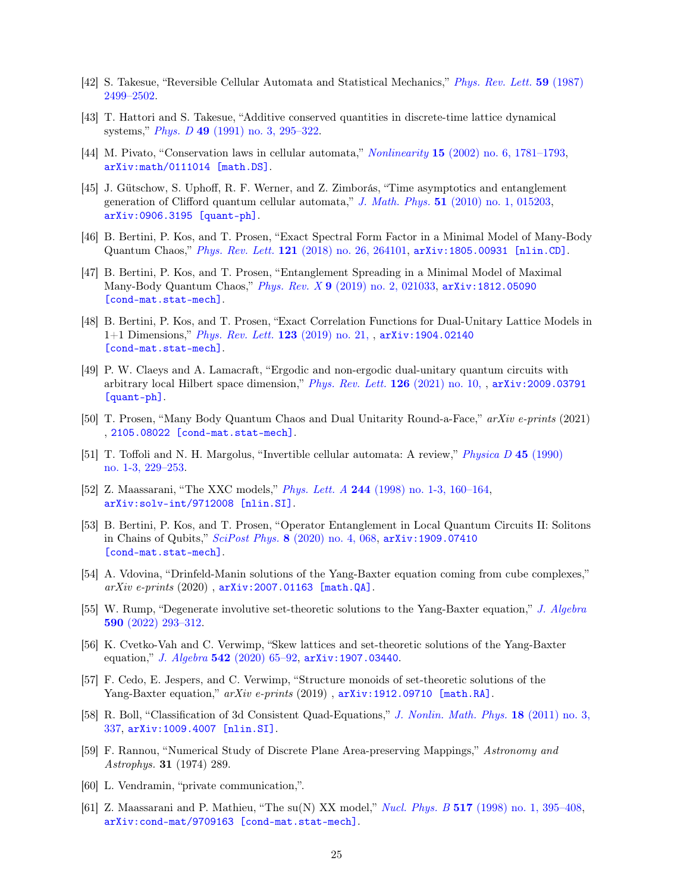- <span id="page-24-0"></span>[42] S. Takesue, "Reversible Cellular Automata and Statistical Mechanics," [Phys. Rev. Lett.](http://dx.doi.org/10.1103/PhysRevLett.59.2499) 59 (1987) [2499–2502.](http://dx.doi.org/10.1103/PhysRevLett.59.2499)
- <span id="page-24-1"></span>[43] T. Hattori and S. Takesue, "Additive conserved quantities in discrete-time lattice dynamical systems," Phys. D 49 [\(1991\) no. 3, 295–322.](http://dx.doi.org/https://doi.org/10.1016/0167-2789(91)90150-8)
- <span id="page-24-2"></span>[44] M. Pivato, "Conservation laws in cellular automata," Nonlinearity 15 [\(2002\) no. 6, 1781–1793,](http://dx.doi.org/10.1088/0951-7715/15/6/305) [arXiv:math/0111014 \[math.DS\]](http://arxiv.org/abs/math/0111014).
- <span id="page-24-3"></span>[45] J. Gütschow, S. Uphoff, R. F. Werner, and Z. Zimborás, "Time asymptotics and entanglement generation of Clifford quantum cellular automata," J. Math. Phys. 51 [\(2010\) no. 1, 015203,](http://dx.doi.org/10.1063/1.3278513) [arXiv:0906.3195 \[quant-ph\]](http://arxiv.org/abs/0906.3195).
- <span id="page-24-4"></span>[46] B. Bertini, P. Kos, and T. Prosen, "Exact Spectral Form Factor in a Minimal Model of Many-Body Quantum Chaos," Phys. Rev. Lett. 121 [\(2018\) no. 26, 264101,](http://dx.doi.org/10.1103/PhysRevLett.121.264101) [arXiv:1805.00931 \[nlin.CD\]](http://arxiv.org/abs/1805.00931).
- <span id="page-24-5"></span>[47] B. Bertini, P. Kos, and T. Prosen, "Entanglement Spreading in a Minimal Model of Maximal Many-Body Quantum Chaos," Phys. Rev. X 9 [\(2019\) no. 2, 021033,](http://dx.doi.org/10.1103/PhysRevX.9.021033) [arXiv:1812.05090](http://arxiv.org/abs/1812.05090) [\[cond-mat.stat-mech\]](http://arxiv.org/abs/1812.05090).
- <span id="page-24-6"></span>[48] B. Bertini, P. Kos, and T. Prosen, "Exact Correlation Functions for Dual-Unitary Lattice Models in 1+1 Dimensions," [Phys. Rev. Lett.](http://dx.doi.org/10.1103/physrevlett.123.210601) 123 (2019) no. 21, , [arXiv:1904.02140](http://arxiv.org/abs/1904.02140) [\[cond-mat.stat-mech\]](http://arxiv.org/abs/1904.02140).
- <span id="page-24-7"></span>[49] P. W. Claeys and A. Lamacraft, "Ergodic and non-ergodic dual-unitary quantum circuits with arbitrary local Hilbert space dimension," [Phys. Rev. Lett.](http://dx.doi.org/10.1103/physrevlett.126.100603)  $126$  (2021) no. 10, , [arXiv:2009.03791](http://arxiv.org/abs/2009.03791) [\[quant-ph\]](http://arxiv.org/abs/2009.03791).
- <span id="page-24-8"></span>[50] T. Prosen, "Many Body Quantum Chaos and Dual Unitarity Round-a-Face," arXiv e-prints (2021) , [2105.08022 \[cond-mat.stat-mech\]](http://arxiv.org/abs/2105.08022).
- <span id="page-24-9"></span>[51] T. Toffoli and N. H. Margolus, "Invertible cellular automata: A review," [Physica D](http://dx.doi.org/10.1016/0167-2789(90)90185-R) 45 (1990) [no. 1-3, 229–253.](http://dx.doi.org/10.1016/0167-2789(90)90185-R)
- <span id="page-24-10"></span>[52] Z. Maassarani, "The XXC models," Phys. Lett. A 244 [\(1998\) no. 1-3, 160–164,](http://dx.doi.org/10.1016/S0375-9601(98)00322-3) [arXiv:solv-int/9712008 \[nlin.SI\]](http://arxiv.org/abs/solv-int/9712008).
- <span id="page-24-11"></span>[53] B. Bertini, P. Kos, and T. Prosen, "Operator Entanglement in Local Quantum Circuits II: Solitons in Chains of Qubits," SciPost Phys. 8 [\(2020\) no. 4, 068,](http://dx.doi.org/10.21468/SciPostPhys.8.4.068) [arXiv:1909.07410](http://arxiv.org/abs/1909.07410) [\[cond-mat.stat-mech\]](http://arxiv.org/abs/1909.07410).
- <span id="page-24-12"></span>[54] A. Vdovina, "Drinfeld-Manin solutions of the Yang-Baxter equation coming from cube complexes,"  $arXiv \text{ } e\text{-}prints (2020)$ ,  $arXiv: 2007.01163$  [math.QA].
- <span id="page-24-13"></span>[55] W. Rump, "Degenerate involutive set-theoretic solutions to the Yang-Baxter equation," [J. Algebra](http://dx.doi.org/https://doi.org/10.1016/j.jalgebra.2021.09.023) 590 [\(2022\) 293–312.](http://dx.doi.org/https://doi.org/10.1016/j.jalgebra.2021.09.023)
- <span id="page-24-14"></span>[56] K. Cvetko-Vah and C. Verwimp, "Skew lattices and set-theoretic solutions of the Yang-Baxter equation," *J. Algebra* 542 (2020) 65-92,  $arXiv:1907.03440$ .
- <span id="page-24-15"></span>[57] F. Cedo, E. Jespers, and C. Verwimp, "Structure monoids of set-theoretic solutions of the Yang-Baxter equation,"  $arXiv$  e-prints (2019),  $arXiv:1912.09710$  [math.RA].
- <span id="page-24-16"></span>[58] R. Boll, "Classification of 3d Consistent Quad-Equations," [J. Nonlin. Math. Phys.](http://dx.doi.org/10.1142/S1402925111001647) 18 (2011) no. 3, [337,](http://dx.doi.org/10.1142/S1402925111001647) [arXiv:1009.4007 \[nlin.SI\]](http://arxiv.org/abs/1009.4007).
- <span id="page-24-17"></span>[59] F. Rannou, "Numerical Study of Discrete Plane Area-preserving Mappings," Astronomy and Astrophys. 31 (1974) 289.
- <span id="page-24-18"></span>[60] L. Vendramin, "private communication,".
- <span id="page-24-19"></span>[61] Z. Maassarani and P. Mathieu, "The su(N) XX model," Nucl. Phys. B 517 [\(1998\) no. 1, 395–408,](http://dx.doi.org/10.1016/S0550-3213(98)80004-7) [arXiv:cond-mat/9709163 \[cond-mat.stat-mech\]](http://arxiv.org/abs/cond-mat/9709163).